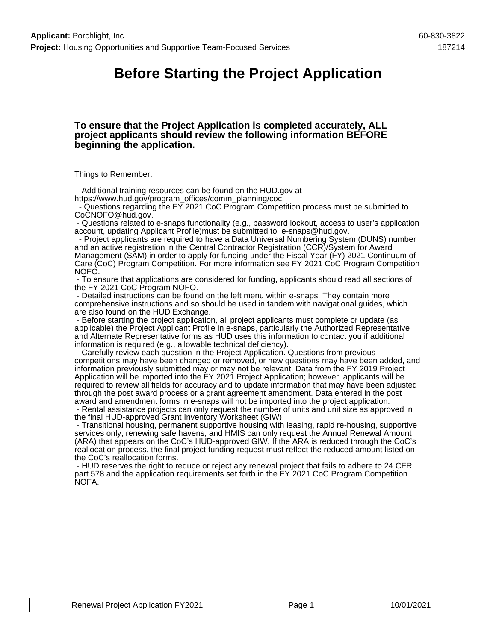## **Before Starting the Project Application**

#### **To ensure that the Project Application is completed accurately, ALL project applicants should review the following information BEFORE beginning the application.**

Things to Remember:

 - Additional training resources can be found on the HUD.gov at https://www.hud.gov/program\_offices/comm\_planning/coc.

 - Questions regarding the FY 2021 CoC Program Competition process must be submitted to CoCNOFO@hud.gov.

 - Questions related to e-snaps functionality (e.g., password lockout, access to user's application account, updating Applicant Profile)must be submitted to e-snaps@hud.gov.

 - Project applicants are required to have a Data Universal Numbering System (DUNS) number and an active registration in the Central Contractor Registration (CCR)/System for Award Management (SAM) in order to apply for funding under the Fiscal Year (FY) 2021 Continuum of Care (CoC) Program Competition. For more information see FY 2021 CoC Program Competition NOFO.

 - To ensure that applications are considered for funding, applicants should read all sections of the FY 2021 CoC Program NOFO.

 - Detailed instructions can be found on the left menu within e-snaps. They contain more comprehensive instructions and so should be used in tandem with navigational guides, which are also found on the HUD Exchange.

 - Before starting the project application, all project applicants must complete or update (as applicable) the Project Applicant Profile in e-snaps, particularly the Authorized Representative and Alternate Representative forms as HUD uses this information to contact you if additional information is required (e.g., allowable technical deficiency).

 - Carefully review each question in the Project Application. Questions from previous competitions may have been changed or removed, or new questions may have been added, and information previously submitted may or may not be relevant. Data from the FY 2019 Project Application will be imported into the FY 2021 Project Application; however, applicants will be required to review all fields for accuracy and to update information that may have been adjusted through the post award process or a grant agreement amendment. Data entered in the post award and amendment forms in e-snaps will not be imported into the project application.

 - Rental assistance projects can only request the number of units and unit size as approved in the final HUD-approved Grant Inventory Worksheet (GIW).

 - Transitional housing, permanent supportive housing with leasing, rapid re-housing, supportive services only, renewing safe havens, and HMIS can only request the Annual Renewal Amount (ARA) that appears on the CoC's HUD-approved GIW. If the ARA is reduced through the CoC's reallocation process, the final project funding request must reflect the reduced amount listed on the CoC's reallocation forms.

 - HUD reserves the right to reduce or reject any renewal project that fails to adhere to 24 CFR part 578 and the application requirements set forth in the FY 2021 CoC Program Competition NOFA.

| <b>Renewal Project Application FY2021</b> | Page | 10/01/2021 |
|-------------------------------------------|------|------------|
|-------------------------------------------|------|------------|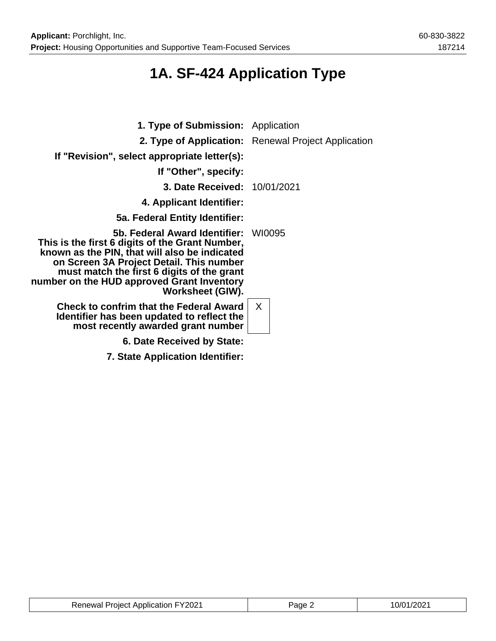## **1A. SF-424 Application Type**

| <b>1. Type of Submission:</b> Application                                                                                                                                                                                                                                                     |                                                     |
|-----------------------------------------------------------------------------------------------------------------------------------------------------------------------------------------------------------------------------------------------------------------------------------------------|-----------------------------------------------------|
|                                                                                                                                                                                                                                                                                               | 2. Type of Application: Renewal Project Application |
| If "Revision", select appropriate letter(s):                                                                                                                                                                                                                                                  |                                                     |
| If "Other", specify:                                                                                                                                                                                                                                                                          |                                                     |
| <b>3. Date Received: 10/01/2021</b>                                                                                                                                                                                                                                                           |                                                     |
| 4. Applicant Identifier:                                                                                                                                                                                                                                                                      |                                                     |
| 5a. Federal Entity Identifier:                                                                                                                                                                                                                                                                |                                                     |
| 5b. Federal Award Identifier:<br>This is the first 6 digits of the Grant Number,<br>known as the PIN, that will also be indicated<br>on Screen 3A Project Detail. This number<br>must match the first 6 digits of the grant<br>number on the HUD approved Grant Inventory<br>Worksheet (GIW). | WI0095                                              |
| <b>Check to confrim that the Federal Award</b><br>Identifier has been updated to reflect the<br>most recently awarded grant number                                                                                                                                                            | $\mathsf{X}$                                        |
| 6. Date Received by State:                                                                                                                                                                                                                                                                    |                                                     |
| 7. State Application Identifier:                                                                                                                                                                                                                                                              |                                                     |

| Renewal Project Application FY2021 | Page 2 | 10/01/2021 |
|------------------------------------|--------|------------|
|------------------------------------|--------|------------|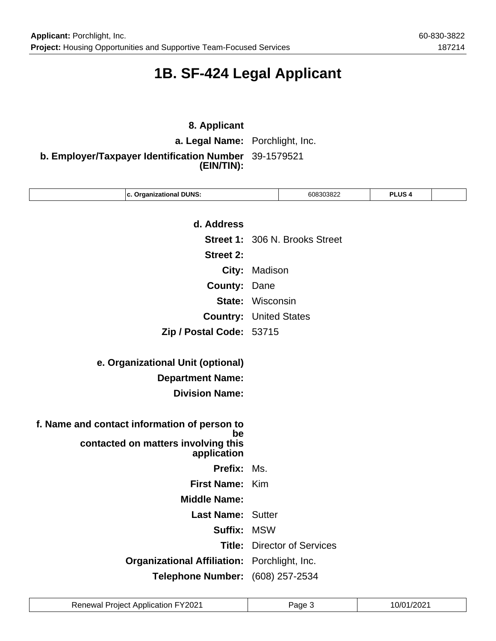## **1B. SF-424 Legal Applicant**

## **8. Applicant a. Legal Name:** Porchlight, Inc. **b. Employer/Taxpayer Identification Number** 39-1579521 **(EIN/TIN):**

| d. Address<br><b>Street 1: 306 N. Brooks Street</b>    |
|--------------------------------------------------------|
|                                                        |
|                                                        |
|                                                        |
| <b>Street 2:</b>                                       |
| City:<br>Madison                                       |
| <b>County:</b><br>Dane                                 |
| <b>State: Wisconsin</b>                                |
| <b>Country:</b><br><b>United States</b>                |
| Zip / Postal Code: 53715                               |
|                                                        |
| e. Organizational Unit (optional)                      |
| <b>Department Name:</b>                                |
| <b>Division Name:</b>                                  |
|                                                        |
| f. Name and contact information of person to           |
| be<br>contacted on matters involving this              |
| application                                            |
| Prefix:<br>Ms.                                         |
| First Name: Kim                                        |
| <b>Middle Name:</b>                                    |
| <b>Last Name: Sutter</b>                               |
| Suffix:<br><b>MSW</b>                                  |
|                                                        |
| Title:<br><b>Director of Services</b>                  |
| <b>Organizational Affiliation:</b><br>Porchlight, Inc. |

| <b>Renewal Project Application FY2021</b> | Page 3 | 10/01/2021 |
|-------------------------------------------|--------|------------|
|-------------------------------------------|--------|------------|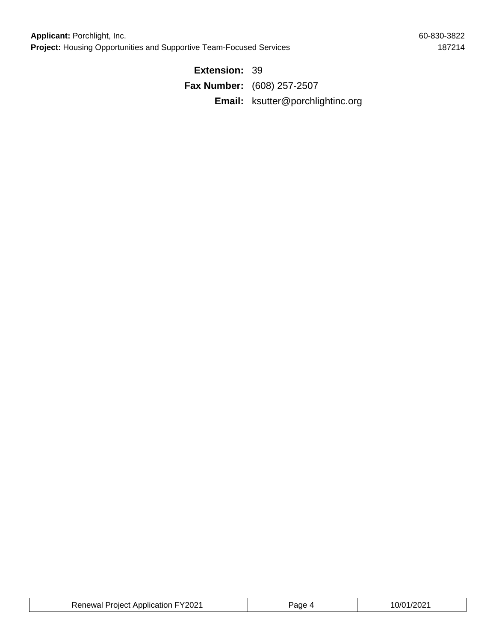**Extension:** 39 **Fax Number:** (608) 257-2507 **Email:** ksutter@porchlightinc.org

| <b>Renewal Project Application FY2021</b> | Page | 10/01/2021 |
|-------------------------------------------|------|------------|
|-------------------------------------------|------|------------|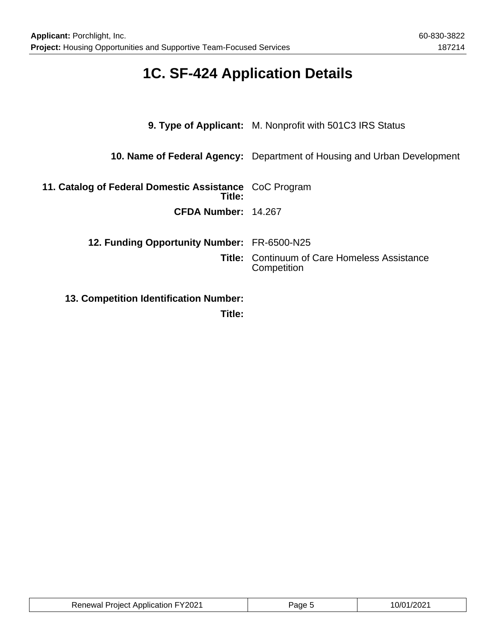## **1C. SF-424 Application Details**

|                                                                  | <b>9. Type of Applicant:</b> M. Nonprofit with 501C3 IRS Status         |
|------------------------------------------------------------------|-------------------------------------------------------------------------|
|                                                                  | 10. Name of Federal Agency: Department of Housing and Urban Development |
| 11. Catalog of Federal Domestic Assistance CoC Program<br>Title: |                                                                         |
| CFDA Number: 14.267                                              |                                                                         |
| 12. Funding Opportunity Number: FR-6500-N25                      |                                                                         |
|                                                                  | <b>Title: Continuum of Care Homeless Assistance</b><br>Competition      |
| <b>13. Competition Identification Number:</b>                    |                                                                         |

**Title:**

| <b>Renewal Project Application FY2021</b> | Page : | $\sim$ $\sim$ $\sim$ |
|-------------------------------------------|--------|----------------------|
|-------------------------------------------|--------|----------------------|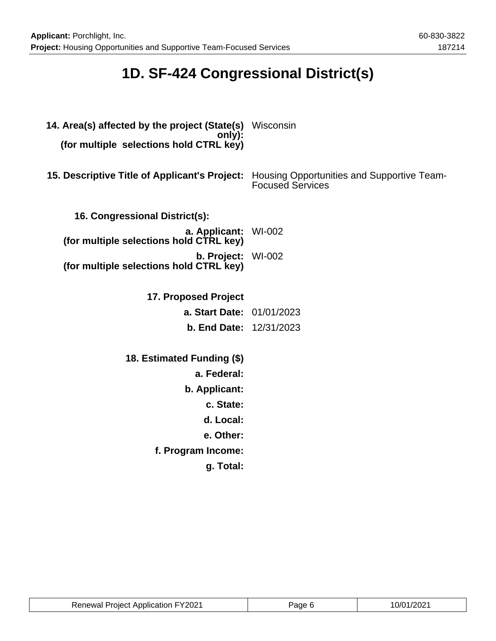## **1D. SF-424 Congressional District(s)**

| 14. Area(s) affected by the project (State(s) Wisconsin<br>only):<br>(for multiple selections hold CTRL key) |                                                                       |
|--------------------------------------------------------------------------------------------------------------|-----------------------------------------------------------------------|
| 15. Descriptive Title of Applicant's Project:                                                                | Housing Opportunities and Supportive Team-<br><b>Focused Services</b> |
| 16. Congressional District(s):                                                                               |                                                                       |
| a. Applicant: WI-002<br>(for multiple selections hold CTRL key)                                              |                                                                       |
| b. Project: WI-002<br>(for multiple selections hold CTRL key)                                                |                                                                       |
| 17. Proposed Project                                                                                         |                                                                       |
| a. Start Date: 01/01/2023                                                                                    |                                                                       |
| <b>b. End Date: 12/31/2023</b>                                                                               |                                                                       |
| 18. Estimated Funding (\$)                                                                                   |                                                                       |
| a. Federal:                                                                                                  |                                                                       |
| b. Applicant:                                                                                                |                                                                       |
| c. State:                                                                                                    |                                                                       |
| d. Local:                                                                                                    |                                                                       |
| e. Other:                                                                                                    |                                                                       |
| f. Program Income:                                                                                           |                                                                       |
| g. Total:                                                                                                    |                                                                       |

| <b>Renewal Project Application FY2021</b> | Page 6 | 10/01/2021 |
|-------------------------------------------|--------|------------|
|-------------------------------------------|--------|------------|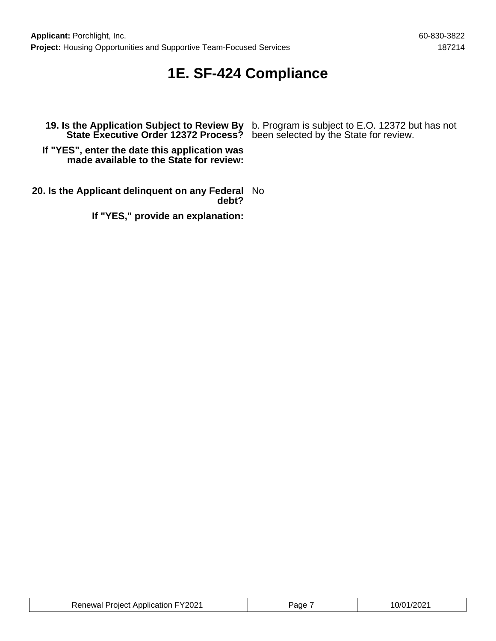## **1E. SF-424 Compliance**

**State Executive Order 12372 Process?** been selected by the State for review.

**19. Is the Application Subject to Review By** b. Program is subject to E.O. 12372 but has not

**If "YES", enter the date this application was made available to the State for review:**

**20. Is the Applicant delinquent on any Federal** No **debt?**

**If "YES," provide an explanation:**

| <b>Renewal Project Application FY2021</b> | Page | 10/01/2021 |
|-------------------------------------------|------|------------|
|-------------------------------------------|------|------------|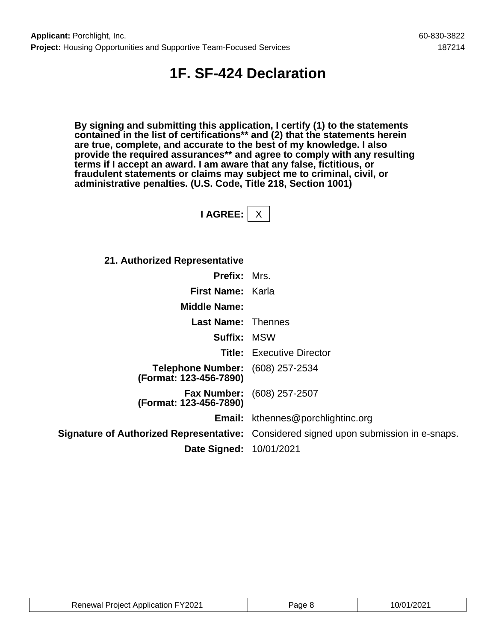## **1F. SF-424 Declaration**

**By signing and submitting this application, I certify (1) to the statements contained in the list of certifications\*\* and (2) that the statements herein are true, complete, and accurate to the best of my knowledge. I also provide the required assurances\*\* and agree to comply with any resulting terms if I accept an award. I am aware that any false, fictitious, or fraudulent statements or claims may subject me to criminal, civil, or administrative penalties. (U.S. Code, Title 218, Section 1001)**

**I AGREE:** X

**21. Authorized Representative**

| <b>Prefix: Mrs.</b>                                               |                                                                                              |
|-------------------------------------------------------------------|----------------------------------------------------------------------------------------------|
| First Name: Karla                                                 |                                                                                              |
| <b>Middle Name:</b>                                               |                                                                                              |
| <b>Last Name: Thennes</b>                                         |                                                                                              |
| <b>Suffix: MSW</b>                                                |                                                                                              |
|                                                                   | <b>Title:</b> Executive Director                                                             |
| <b>Telephone Number:</b> (608) 257-2534<br>(Format: 123-456-7890) |                                                                                              |
| (Format: 123-456-7890)                                            | <b>Fax Number:</b> (608) 257-2507                                                            |
|                                                                   | <b>Email:</b> kthennes@porchlightinc.org                                                     |
|                                                                   | <b>Signature of Authorized Representative:</b> Considered signed upon submission in e-snaps. |
| <b>Date Signed: 10/01/2021</b>                                    |                                                                                              |

| <b>Renewal Project Application FY2021</b> | Page 8 | 10/01/2021 |
|-------------------------------------------|--------|------------|
|-------------------------------------------|--------|------------|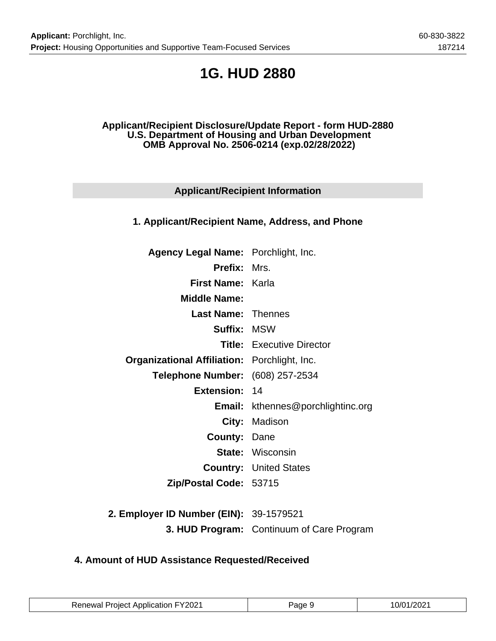## **1G. HUD 2880**

### **Applicant/Recipient Disclosure/Update Report - form HUD-2880 U.S. Department of Housing and Urban Development OMB Approval No. 2506-0214 (exp.02/28/2022)**

## **Applicant/Recipient Information**

## **1. Applicant/Recipient Name, Address, and Phone**

| Agency Legal Name: Porchlight, Inc.                 |                                          |
|-----------------------------------------------------|------------------------------------------|
| <b>Prefix: Mrs.</b>                                 |                                          |
| <b>First Name: Karla</b>                            |                                          |
| <b>Middle Name:</b>                                 |                                          |
| <b>Last Name: Thennes</b>                           |                                          |
| <b>Suffix: MSW</b>                                  |                                          |
|                                                     | <b>Title:</b> Executive Director         |
| <b>Organizational Affiliation:</b> Porchlight, Inc. |                                          |
| Telephone Number: (608) 257-2534                    |                                          |
| <b>Extension: 14</b>                                |                                          |
|                                                     | <b>Email:</b> kthennes@porchlightinc.org |
|                                                     | City: Madison                            |
| <b>County: Dane</b>                                 |                                          |
|                                                     | <b>State: Wisconsin</b>                  |
|                                                     | <b>Country: United States</b>            |
| Zip/Postal Code: 53715                              |                                          |
|                                                     |                                          |

**2. Employer ID Number (EIN):** 39-1579521 **3. HUD Program:** Continuum of Care Program

## **4. Amount of HUD Assistance Requested/Received**

| <b>Renewal Project Application FY2021</b> | Page 9 | 10/01/2021 |
|-------------------------------------------|--------|------------|
|-------------------------------------------|--------|------------|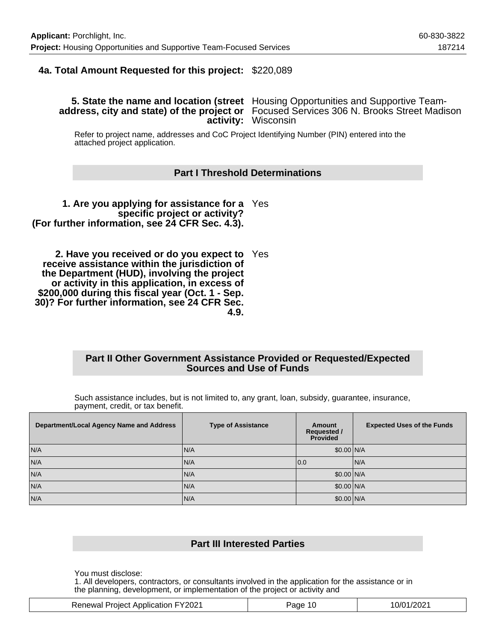### **4a. Total Amount Requested for this project:** \$220,089

### **5. State the name and location (street** Housing Opportunities and Supportive Team**address, city and state) of the project or** Focused Services 306 N. Brooks Street Madison **activity:** Wisconsin

Refer to project name, addresses and CoC Project Identifying Number (PIN) entered into the attached project application.

#### **Part I Threshold Determinations**

**1. Are you applying for assistance for a** Yes **specific project or activity? (For further information, see 24 CFR Sec. 4.3).**

**2. Have you received or do you expect to** Yes **receive assistance within the jurisdiction of the Department (HUD), involving the project or activity in this application, in excess of \$200,000 during this fiscal year (Oct. 1 - Sep. 30)? For further information, see 24 CFR Sec. 4.9.**

#### **Part II Other Government Assistance Provided or Requested/Expected Sources and Use of Funds**

Such assistance includes, but is not limited to, any grant, loan, subsidy, guarantee, insurance, payment, credit, or tax benefit.

| Department/Local Agency Name and Address | <b>Type of Assistance</b> | Amount<br><b>Requested /</b><br><b>Provided</b> | <b>Expected Uses of the Funds</b> |
|------------------------------------------|---------------------------|-------------------------------------------------|-----------------------------------|
| N/A                                      | IN/A                      | \$0.00 N/A                                      |                                   |
| N/A                                      | IN/A                      | 10.0                                            | IN/A                              |
| N/A                                      | N/A                       | \$0.00 N/A                                      |                                   |
| N/A                                      | IN/A                      | \$0.00 N/A                                      |                                   |
| N/A                                      | N/A                       | \$0.00 N/A                                      |                                   |

### **Part III Interested Parties**

You must disclose:

1. All developers, contractors, or consultants involved in the application for the assistance or in the planning, development, or implementation of the project or activity and

| <b>Renewal Project Application FY2021</b> | 10<br>'age | 10/01/2021 |
|-------------------------------------------|------------|------------|
|-------------------------------------------|------------|------------|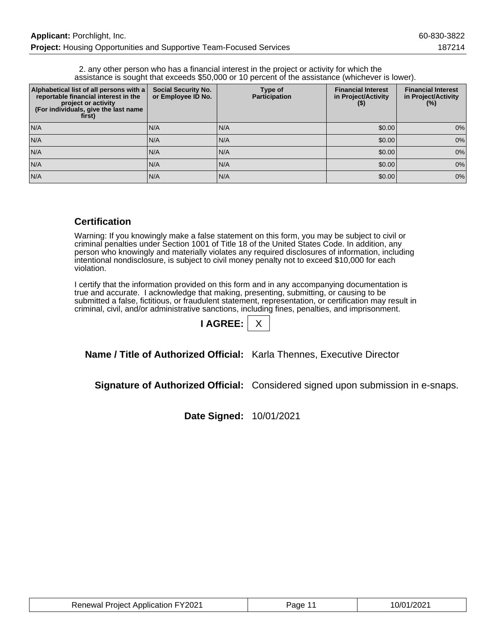2. any other person who has a financial interest in the project or activity for which the assistance is sought that exceeds \$50,000 or 10 percent of the assistance (whichever is lower).

| Alphabetical list of all persons with a<br>reportable financial interest in the<br>project or activity<br>(For individuals, give the last name<br>first) | <b>Social Security No.</b><br>or Employee ID No. | Type of<br><b>Participation</b> | <b>Financial Interest</b><br>in Project/Activity<br>$($ \$) | <b>Financial Interest</b><br>in Project/Activity<br>$(\%)$ |
|----------------------------------------------------------------------------------------------------------------------------------------------------------|--------------------------------------------------|---------------------------------|-------------------------------------------------------------|------------------------------------------------------------|
| N/A                                                                                                                                                      | N/A                                              | N/A                             | \$0.00                                                      | 0%                                                         |
| N/A                                                                                                                                                      | IN/A                                             | N/A                             | \$0.00                                                      | 0%                                                         |
| N/A                                                                                                                                                      | N/A                                              | N/A                             | \$0.00                                                      | 0%                                                         |
| N/A                                                                                                                                                      | N/A                                              | IN/A                            | \$0.00                                                      | 0%                                                         |
| N/A                                                                                                                                                      | N/A                                              | N/A                             | \$0.00                                                      | 0%                                                         |

### **Certification**

Warning: If you knowingly make a false statement on this form, you may be subject to civil or criminal penalties under Section 1001 of Title 18 of the United States Code. In addition, any person who knowingly and materially violates any required disclosures of information, including intentional nondisclosure, is subject to civil money penalty not to exceed \$10,000 for each violation.

I certify that the information provided on this form and in any accompanying documentation is true and accurate. I acknowledge that making, presenting, submitting, or causing to be submitted a false, fictitious, or fraudulent statement, representation, or certification may result in criminal, civil, and/or administrative sanctions, including fines, penalties, and imprisonment.

| <b>AGRE</b> |  |
|-------------|--|
|             |  |

**Name / Title of Authorized Official:** Karla Thennes, Executive Director

**Signature of Authorized Official:** Considered signed upon submission in e-snaps.

**Date Signed:** 10/01/2021

| <b>Renewal Project Application FY2021</b> | Page <sup>11</sup> | 10/01/2021 |
|-------------------------------------------|--------------------|------------|
|-------------------------------------------|--------------------|------------|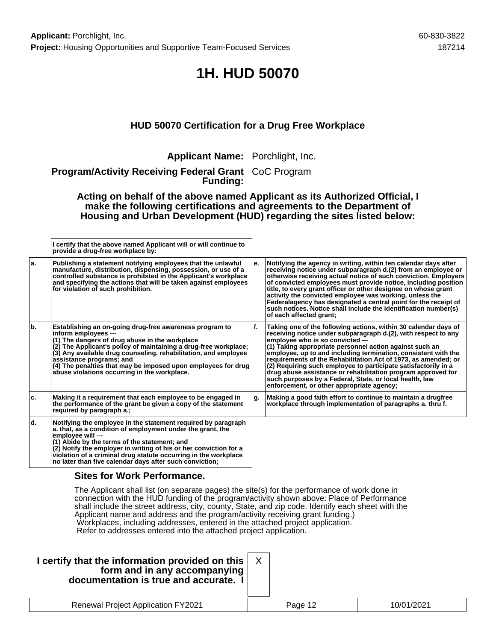## **1H. HUD 50070**

## **HUD 50070 Certification for a Drug Free Workplace**

**Applicant Name:** Porchlight, Inc.

**Program/Activity Receiving Federal Grant** CoC Program **Funding:**

**Acting on behalf of the above named Applicant as its Authorized Official, I make the following certifications and agreements to the Department of Housing and Urban Development (HUD) regarding the sites listed below:**

|     | I certify that the above named Applicant will or will continue to<br>provide a drug-free workplace by:                                                                                                                                                                                                                                                                                                                |     |                                                                                                                                                                                                                                                                                                                                                                                                                                                                                                                                                                                                                    |
|-----|-----------------------------------------------------------------------------------------------------------------------------------------------------------------------------------------------------------------------------------------------------------------------------------------------------------------------------------------------------------------------------------------------------------------------|-----|--------------------------------------------------------------------------------------------------------------------------------------------------------------------------------------------------------------------------------------------------------------------------------------------------------------------------------------------------------------------------------------------------------------------------------------------------------------------------------------------------------------------------------------------------------------------------------------------------------------------|
| ۱a. | Publishing a statement notifying employees that the unlawful<br>manufacture, distribution, dispensing, possession, or use of a<br>controlled substance is prohibited in the Applicant's workplace<br>and specifying the actions that will be taken against employees<br>for violation of such prohibition.                                                                                                            | е.  | Notifying the agency in writing, within ten calendar days after<br>receiving notice under subparagraph d.(2) from an employee or<br>otherwise receiving actual notice of such conviction. Employers<br>of convicted employees must provide notice, including position<br>title, to every grant officer or other designee on whose grant<br>activity the convicted employee was working, unless the<br>Federalagency has designated a central point for the receipt of<br>such notices. Notice shall include the identification number(s)<br>of each affected grant:                                                |
| b.  | Establishing an on-going drug-free awareness program to<br>inform employees ---<br>(1) The dangers of drug abuse in the workplace<br>(2) The Applicant's policy of maintaining a drug-free workplace;<br>(3) Any available drug counseling, rehabilitation, and employee<br>assistance programs; and<br>(4) The penalties that may be imposed upon employees for drug<br>abuse violations occurring in the workplace. | ١f. | Taking one of the following actions, within 30 calendar days of<br>receiving notice under subparagraph d.(2), with respect to any<br>employee who is so convicted ---<br>$(1)$ Taking appropriate personnel action against such an<br>employee, up to and including termination, consistent with the<br>requirements of the Rehabilitation Act of 1973, as amended; or<br>$(2)$ Requiring such employee to participate satisfactorily in a<br>drug abuse assistance or rehabilitation program approved for<br>such purposes by a Federal, State, or local health, law<br>enforcement, or other appropriate agency; |
| ۱c. | Making it a requirement that each employee to be engaged in<br>the performance of the grant be given a copy of the statement<br>required by paragraph a.;                                                                                                                                                                                                                                                             | g.  | Making a good faith effort to continue to maintain a drugfree<br>workplace through implementation of paragraphs a. thru f.                                                                                                                                                                                                                                                                                                                                                                                                                                                                                         |
| ۱d. | Notifying the employee in the statement required by paragraph<br>a. that, as a condition of employment under the grant, the<br>employee will ---<br>(1) Abide by the terms of the statement; and<br>(2) Notify the employer in writing of his or her conviction for a<br>violation of a criminal drug statute occurring in the workplace<br>no later than five calendar days after such conviction;                   |     |                                                                                                                                                                                                                                                                                                                                                                                                                                                                                                                                                                                                                    |

### **Sites for Work Performance.**

The Applicant shall list (on separate pages) the site(s) for the performance of work done in connection with the HUD funding of the program/activity shown above: Place of Performance shall include the street address, city, county, State, and zip code. Identify each sheet with the Applicant name and address and the program/activity receiving grant funding.) Workplaces, including addresses, entered in the attached project application. Refer to addresses entered into the attached project application.

| I certify that the information provided on this<br>form and in any accompanying<br>documentation is true and accurate. I |         |            |
|--------------------------------------------------------------------------------------------------------------------------|---------|------------|
| <b>Renewal Project Application FY2021</b>                                                                                | Page 12 | 10/01/2021 |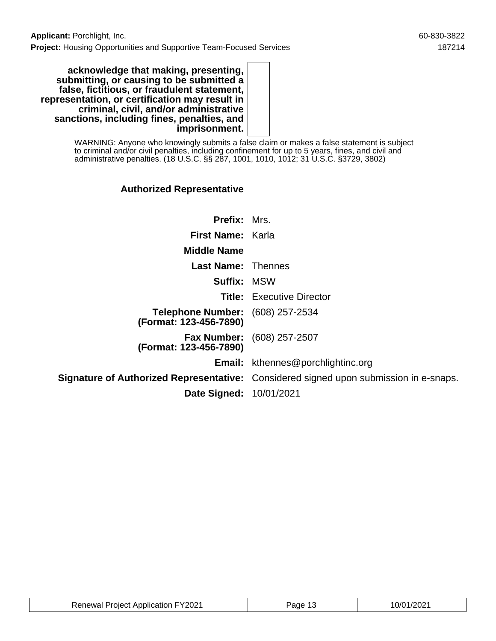**acknowledge that making, presenting, submitting, or causing to be submitted a false, fictitious, or fraudulent statement, representation, or certification may result in criminal, civil, and/or administrative sanctions, including fines, penalties, and imprisonment.**

> WARNING: Anyone who knowingly submits a false claim or makes a false statement is subject to criminal and/or civil penalties, including confinement for up to 5 years, fines, and civil and administrative penalties. (18 U.S.C. §§ 287, 1001, 1010, 1012; 31 U.S.C. §3729, 3802)

## **Authorized Representative**

| <b>Prefix: Mrs.</b>                                               |                                                                                              |
|-------------------------------------------------------------------|----------------------------------------------------------------------------------------------|
|                                                                   |                                                                                              |
| First Name: Karla                                                 |                                                                                              |
| <b>Middle Name</b>                                                |                                                                                              |
| <b>Last Name: Thennes</b>                                         |                                                                                              |
| <b>Suffix: MSW</b>                                                |                                                                                              |
|                                                                   | <b>Title:</b> Executive Director                                                             |
| <b>Telephone Number:</b> (608) 257-2534<br>(Format: 123-456-7890) |                                                                                              |
| (Format: 123-456-7890)                                            | <b>Fax Number:</b> (608) 257-2507                                                            |
|                                                                   | <b>Email:</b> kthennes@porchlightinc.org                                                     |
|                                                                   | <b>Signature of Authorized Representative:</b> Considered signed upon submission in e-snaps. |
| <b>Date Signed: 10/01/2021</b>                                    |                                                                                              |

| <b>Renewal Project Application FY2021</b> | age | 10/01/2021 |
|-------------------------------------------|-----|------------|
|-------------------------------------------|-----|------------|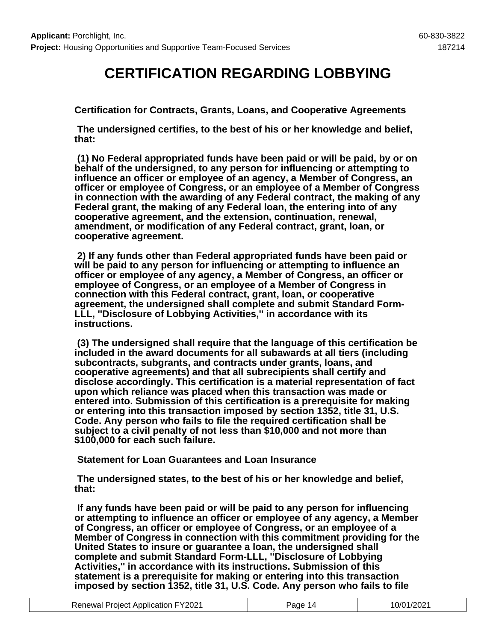## **CERTIFICATION REGARDING LOBBYING**

**Certification for Contracts, Grants, Loans, and Cooperative Agreements**

 **The undersigned certifies, to the best of his or her knowledge and belief, that:**

 **(1) No Federal appropriated funds have been paid or will be paid, by or on behalf of the undersigned, to any person for influencing or attempting to influence an officer or employee of an agency, a Member of Congress, an officer or employee of Congress, or an employee of a Member of Congress in connection with the awarding of any Federal contract, the making of any Federal grant, the making of any Federal loan, the entering into of any cooperative agreement, and the extension, continuation, renewal, amendment, or modification of any Federal contract, grant, loan, or cooperative agreement.**

 **2) If any funds other than Federal appropriated funds have been paid or will be paid to any person for influencing or attempting to influence an officer or employee of any agency, a Member of Congress, an officer or employee of Congress, or an employee of a Member of Congress in connection with this Federal contract, grant, loan, or cooperative agreement, the undersigned shall complete and submit Standard Form-LLL, ''Disclosure of Lobbying Activities,'' in accordance with its instructions.**

 **(3) The undersigned shall require that the language of this certification be included in the award documents for all subawards at all tiers (including subcontracts, subgrants, and contracts under grants, loans, and cooperative agreements) and that all subrecipients shall certify and disclose accordingly. This certification is a material representation of fact upon which reliance was placed when this transaction was made or entered into. Submission of this certification is a prerequisite for making or entering into this transaction imposed by section 1352, title 31, U.S. Code. Any person who fails to file the required certification shall be subject to a civil penalty of not less than \$10,000 and not more than \$100,000 for each such failure.**

 **Statement for Loan Guarantees and Loan Insurance**

 **The undersigned states, to the best of his or her knowledge and belief, that:**

 **If any funds have been paid or will be paid to any person for influencing or attempting to influence an officer or employee of any agency, a Member of Congress, an officer or employee of Congress, or an employee of a Member of Congress in connection with this commitment providing for the United States to insure or guarantee a loan, the undersigned shall complete and submit Standard Form-LLL, ''Disclosure of Lobbying Activities,'' in accordance with its instructions. Submission of this statement is a prerequisite for making or entering into this transaction imposed by section 1352, title 31, U.S. Code. Any person who fails to file**

| <b>Renewal Project Application FY2021</b> | Page 14 | 10/01/2021 |
|-------------------------------------------|---------|------------|
|-------------------------------------------|---------|------------|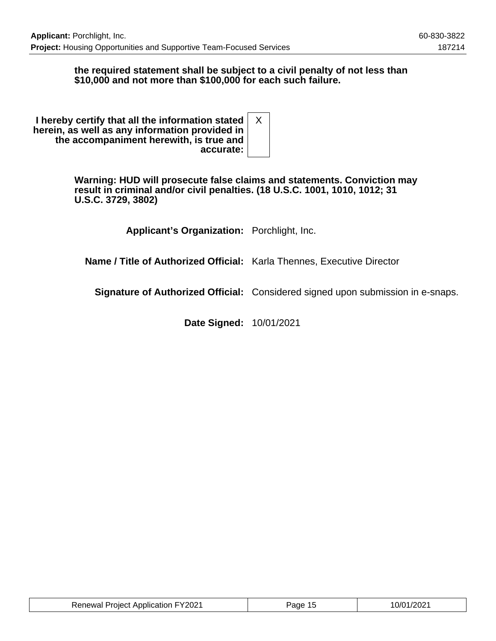### **the required statement shall be subject to a civil penalty of not less than \$10,000 and not more than \$100,000 for each such failure.**

**I hereby certify that all the information stated herein, as well as any information provided in the accompaniment herewith, is true and accurate:** X

> **Warning: HUD will prosecute false claims and statements. Conviction may result in criminal and/or civil penalties. (18 U.S.C. 1001, 1010, 1012; 31 U.S.C. 3729, 3802)**

> > **Applicant's Organization:** Porchlight, Inc.

**Name / Title of Authorized Official:** Karla Thennes, Executive Director

**Signature of Authorized Official:** Considered signed upon submission in e-snaps.

**Date Signed:** 10/01/2021

| <b>Renewal Project Application FY2021</b> | Page 15 | 10/01/2021 |
|-------------------------------------------|---------|------------|
|-------------------------------------------|---------|------------|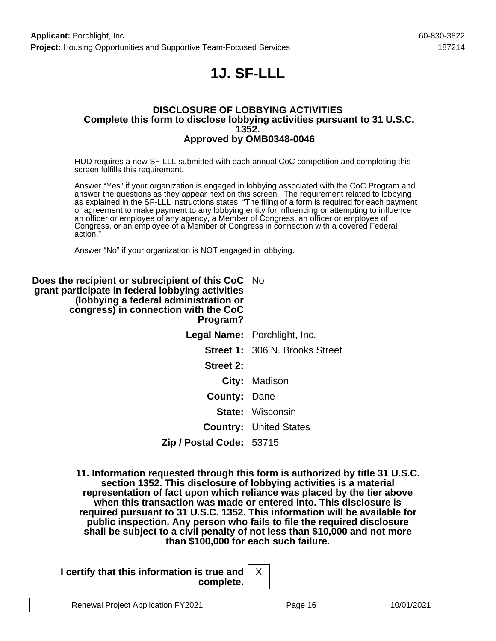## **1J. SF-LLL**

#### **DISCLOSURE OF LOBBYING ACTIVITIES Complete this form to disclose lobbying activities pursuant to 31 U.S.C. 1352. Approved by OMB0348-0046**

HUD requires a new SF-LLL submitted with each annual CoC competition and completing this screen fulfills this requirement.

Answer "Yes" if your organization is engaged in lobbying associated with the CoC Program and answer the questions as they appear next on this screen. The requirement related to lobbying as explained in the SF-LLL instructions states: "The filing of a form is required for each payment or agreement to make payment to any lobbying entity for influencing or attempting to influence an officer or employee of any agency, a Member of Congress, an officer or employee of Congress, or an employee of a Member of Congress in connection with a covered Federal action."

Answer "No" if your organization is NOT engaged in lobbying.

| Does the recipient or subrecipient of this CoC No<br>grant participate in federal lobbying activities<br>(lobbying a federal administration or<br>congress) in connection with the CoC<br>Program? |                                       |
|----------------------------------------------------------------------------------------------------------------------------------------------------------------------------------------------------|---------------------------------------|
|                                                                                                                                                                                                    | <b>Legal Name:</b> Porchlight, Inc.   |
|                                                                                                                                                                                                    | <b>Street 1: 306 N. Brooks Street</b> |
| Street 2:                                                                                                                                                                                          |                                       |
|                                                                                                                                                                                                    | City: Madison                         |
| <b>County: Dane</b>                                                                                                                                                                                |                                       |
|                                                                                                                                                                                                    | <b>State:</b> Wisconsin               |
|                                                                                                                                                                                                    | <b>Country: United States</b>         |
| Zip / Postal Code: 53715                                                                                                                                                                           |                                       |

**11. Information requested through this form is authorized by title 31 U.S.C. section 1352. This disclosure of lobbying activities is a material representation of fact upon which reliance was placed by the tier above when this transaction was made or entered into. This disclosure is required pursuant to 31 U.S.C. 1352. This information will be available for public inspection. Any person who fails to file the required disclosure shall be subject to a civil penalty of not less than \$10,000 and not more than \$100,000 for each such failure.**

| I certify that this information is true and $\vert$ |  |
|-----------------------------------------------------|--|
| complete.                                           |  |

| Project Application FY2021<br>Renewal | $\cdots$<br>але | l <i>11</i> l<br>uz |
|---------------------------------------|-----------------|---------------------|
|                                       |                 |                     |

X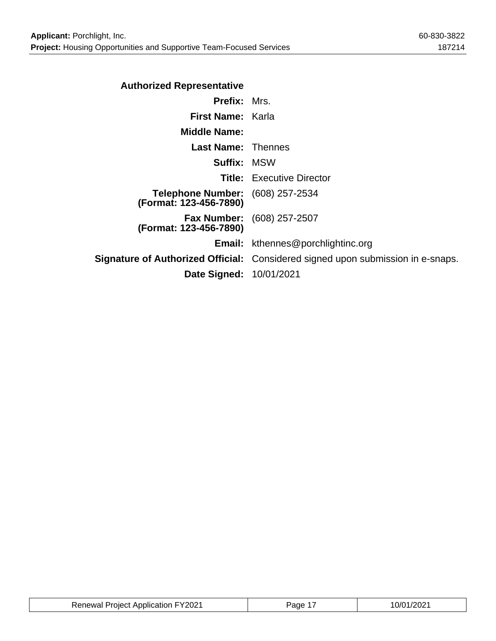| <b>Authorized Representative</b>                                  |                                                                                        |
|-------------------------------------------------------------------|----------------------------------------------------------------------------------------|
| <b>Prefix: Mrs.</b>                                               |                                                                                        |
| First Name: Karla                                                 |                                                                                        |
| <b>Middle Name:</b>                                               |                                                                                        |
| <b>Last Name: Thennes</b>                                         |                                                                                        |
| <b>Suffix: MSW</b>                                                |                                                                                        |
|                                                                   | <b>Title:</b> Executive Director                                                       |
| <b>Telephone Number:</b> (608) 257-2534<br>(Format: 123-456-7890) |                                                                                        |
| (Format: 123-456-7890)                                            | <b>Fax Number:</b> (608) 257-2507                                                      |
|                                                                   | <b>Email:</b> kthennes@porchlightinc.org                                               |
|                                                                   | <b>Signature of Authorized Official:</b> Considered signed upon submission in e-snaps. |
| Date Signed: 10/01/2021                                           |                                                                                        |
|                                                                   |                                                                                        |

| <b>Renewal Project Application FY2021</b> | aqe 1 | 10/01/2021 |
|-------------------------------------------|-------|------------|
|-------------------------------------------|-------|------------|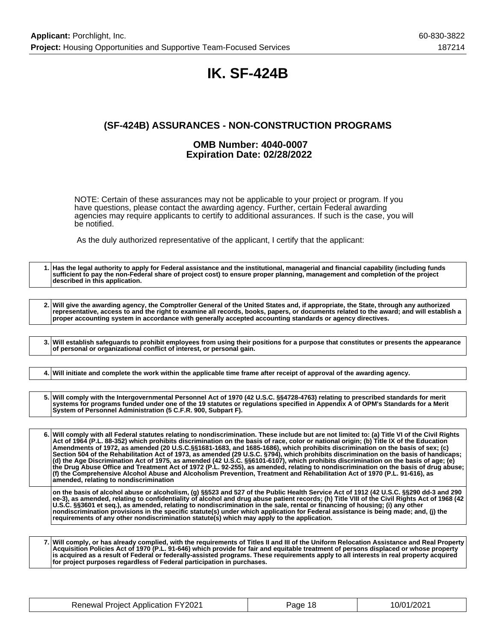## **IK. SF-424B**

## **(SF-424B) ASSURANCES - NON-CONSTRUCTION PROGRAMS**

#### **OMB Number: 4040-0007 Expiration Date: 02/28/2022**

NOTE: Certain of these assurances may not be applicable to your project or program. If you have questions, please contact the awarding agency. Further, certain Federal awarding agencies may require applicants to certify to additional assurances. If such is the case, you will be notified.

As the duly authorized representative of the applicant, I certify that the applicant:

**1. Has the legal authority to apply for Federal assistance and the institutional, managerial and financial capability (including funds sufficient to pay the non-Federal share of project cost) to ensure proper planning, management and completion of the project described in this application. 2. Will give the awarding agency, the Comptroller General of the United States and, if appropriate, the State, through any authorized representative, access to and the right to examine all records, books, papers, or documents related to the award; and will establish a proper accounting system in accordance with generally accepted accounting standards or agency directives. 3. Will establish safeguards to prohibit employees from using their positions for a purpose that constitutes or presents the appearance of personal or organizational conflict of interest, or personal gain. 4. Will initiate and complete the work within the applicable time frame after receipt of approval of the awarding agency. 5. Will comply with the Intergovernmental Personnel Act of 1970 (42 U.S.C. §§4728-4763) relating to prescribed standards for merit systems for programs funded under one of the 19 statutes or regulations specified in Appendix A of OPM's Standards for a Merit System of Personnel Administration (5 C.F.R. 900, Subpart F). 6. Will comply with all Federal statutes relating to nondiscrimination. These include but are not limited to: (a) Title VI of the Civil Rights Act of 1964 (P.L. 88-352) which prohibits discrimination on the basis of race, color or national origin; (b) Title IX of the Education Amendments of 1972, as amended (20 U.S.C.§§1681-1683, and 1685-1686), which prohibits discrimination on the basis of sex; (c) Section 504 of the Rehabilitation Act of 1973, as amended (29 U.S.C. §794), which prohibits discrimination on the basis of handicaps; (d) the Age Discrimination Act of 1975, as amended (42 U.S.C. §§6101-6107), which prohibits discrimination on the basis of age; (e) the Drug Abuse Office and Treatment Act of 1972 (P.L. 92-255), as amended, relating to nondiscrimination on the basis of drug abuse; (f) the Comprehensive Alcohol Abuse and Alcoholism Prevention, Treatment and Rehabilitation Act of 1970 (P.L. 91-616), as amended, relating to nondiscrimination on the basis of alcohol abuse or alcoholism, (g) §§523 and 527 of the Public Health Service Act of 1912 (42 U.S.C. §§290 dd-3 and 290 ee-3), as amended, relating to confidentiality of alcohol and drug abuse patient records; (h) Title VIII of the Civil Rights Act of 1968 (42 U.S.C. §§3601 et seq.), as amended, relating to nondiscrimination in the sale, rental or financing of housing; (i) any other nondiscrimination provisions in the specific statute(s) under which application for Federal assistance is being made; and, (j) the**

**7. Will comply, or has already complied, with the requirements of Titles II and III of the Uniform Relocation Assistance and Real Property Acquisition Policies Act of 1970 (P.L. 91-646) which provide for fair and equitable treatment of persons displaced or whose property is acquired as a result of Federal or federally-assisted programs. These requirements apply to all interests in real property acquired for project purposes regardless of Federal participation in purchases.**

**requirements of any other nondiscrimination statute(s) which may apply to the application.**

| <b>Renewal Project Application FY2021</b> | Page 18 | 10/01/2021 |
|-------------------------------------------|---------|------------|
|-------------------------------------------|---------|------------|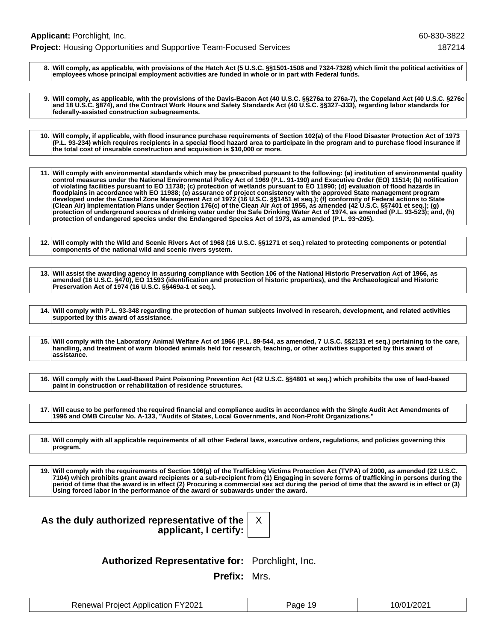**8. Will comply, as applicable, with provisions of the Hatch Act (5 U.S.C. §§1501-1508 and 7324-7328) which limit the political activities of employees whose principal employment activities are funded in whole or in part with Federal funds.**

**9. Will comply, as applicable, with the provisions of the Davis-Bacon Act (40 U.S.C. §§276a to 276a-7), the Copeland Act (40 U.S.C. §276c and 18 U.S.C. §874), and the Contract Work Hours and Safety Standards Act (40 U.S.C. §§327¬333), regarding labor standards for federally-assisted construction subagreements.**

**10. Will comply, if applicable, with flood insurance purchase requirements of Section 102(a) of the Flood Disaster Protection Act of 1973 (P.L. 93-234) which requires recipients in a special flood hazard area to participate in the program and to purchase flood insurance if the total cost of insurable construction and acquisition is \$10,000 or more.**

**11. Will comply with environmental standards which may be prescribed pursuant to the following: (a) institution of environmental quality control measures under the National Environmental Policy Act of 1969 (P.L. 91-190) and Executive Order (EO) 11514; (b) notification of violating facilities pursuant to EO 11738; (c) protection of wetlands pursuant to EO 11990; (d) evaluation of flood hazards in floodplains in accordance with EO 11988; (e) assurance of project consistency with the approved State management program developed under the Coastal Zone Management Act of 1972 (16 U.S.C. §§1451 et seq.); (f) conformity of Federal actions to State (Clean Air) Implementation Plans under Section 176(c) of the Clean Air Act of 1955, as amended (42 U.S.C. §§7401 et seq.); (g) protection of underground sources of drinking water under the Safe Drinking Water Act of 1974, as amended (P.L. 93-523); and, (h) protection of endangered species under the Endangered Species Act of 1973, as amended (P.L. 93¬205).**

**12. Will comply with the Wild and Scenic Rivers Act of 1968 (16 U.S.C. §§1271 et seq.) related to protecting components or potential components of the national wild and scenic rivers system.**

**13. Will assist the awarding agency in assuring compliance with Section 106 of the National Historic Preservation Act of 1966, as amended (16 U.S.C. §470), EO 11593 (identification and protection of historic properties), and the Archaeological and Historic Preservation Act of 1974 (16 U.S.C. §§469a-1 et seq.).**

**14. Will comply with P.L. 93-348 regarding the protection of human subjects involved in research, development, and related activities supported by this award of assistance.**

**15. Will comply with the Laboratory Animal Welfare Act of 1966 (P.L. 89-544, as amended, 7 U.S.C. §§2131 et seq.) pertaining to the care, handling, and treatment of warm blooded animals held for research, teaching, or other activities supported by this award of assistance.**

**16. Will comply with the Lead-Based Paint Poisoning Prevention Act (42 U.S.C. §§4801 et seq.) which prohibits the use of lead-based paint in construction or rehabilitation of residence structures.**

**17. Will cause to be performed the required financial and compliance audits in accordance with the Single Audit Act Amendments of 1996 and OMB Circular No. A-133, "Audits of States, Local Governments, and Non-Profit Organizations."**

**18. Will comply with all applicable requirements of all other Federal laws, executive orders, regulations, and policies governing this program.**

**19. Will comply with the requirements of Section 106(g) of the Trafficking Victims Protection Act (TVPA) of 2000, as amended (22 U.S.C. 7104) which prohibits grant award recipients or a sub-recipient from (1) Engaging in severe forms of trafficking in persons during the period of time that the award is in effect (2) Procuring a commercial sex act during the period of time that the award is in effect or (3) Using forced labor in the performance of the award or subawards under the award.**

| As the duly authorized representative of the |                       |  |
|----------------------------------------------|-----------------------|--|
|                                              | applicant, I certify: |  |

X

**Authorized Representative for:** Porchlight, Inc.

**Prefix:** Mrs.

| Renewal Project Application FY2021 | Page 19 | 10/01/2021 |
|------------------------------------|---------|------------|
|------------------------------------|---------|------------|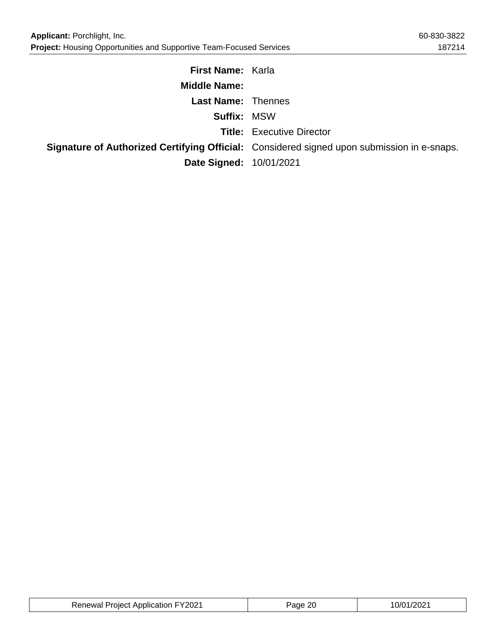| <b>First Name: Karla</b>       |                                                                                            |
|--------------------------------|--------------------------------------------------------------------------------------------|
| <b>Middle Name:</b>            |                                                                                            |
| <b>Last Name: Thennes</b>      |                                                                                            |
| <b>Suffix: MSW</b>             |                                                                                            |
|                                | <b>Title:</b> Executive Director                                                           |
|                                | Signature of Authorized Certifying Official: Considered signed upon submission in e-snaps. |
| <b>Date Signed: 10/01/2021</b> |                                                                                            |

| <b>Renewal Project Application FY2021</b> | Page 20 | 10/01/2021 |
|-------------------------------------------|---------|------------|
|-------------------------------------------|---------|------------|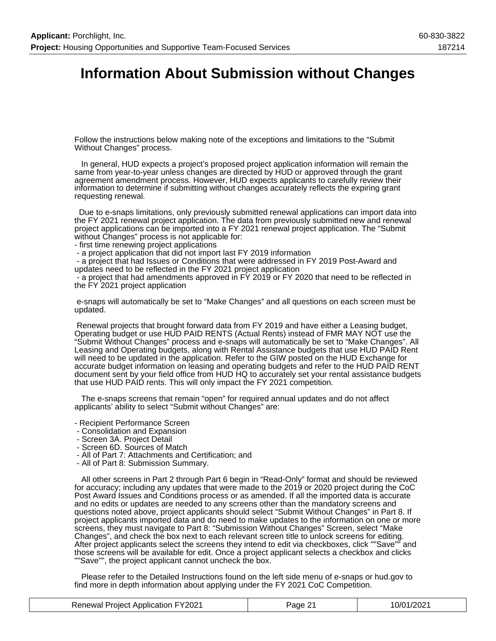## **Information About Submission without Changes**

Follow the instructions below making note of the exceptions and limitations to the "Submit Without Changes" process.

 In general, HUD expects a project's proposed project application information will remain the same from year-to-year unless changes are directed by HUD or approved through the grant agreement amendment process. However, HUD expects applicants to carefully review their information to determine if submitting without changes accurately reflects the expiring grant requesting renewal.

 Due to e-snaps limitations, only previously submitted renewal applications can import data into the FY 2021 renewal project application. The data from previously submitted new and renewal project applications can be imported into a FY 2021 renewal project application. The "Submit without Changes" process is not applicable for:

- first time renewing project applications
- a project application that did not import last FY 2019 information

 - a project that had Issues or Conditions that were addressed in FY 2019 Post-Award and updates need to be reflected in the FY 2021 project application

 - a project that had amendments approved in FY 2019 or FY 2020 that need to be reflected in the FY 2021 project application

 e-snaps will automatically be set to "Make Changes" and all questions on each screen must be updated.

 Renewal projects that brought forward data from FY 2019 and have either a Leasing budget, Operating budget or use HUD PAID RENTS (Actual Rents) instead of FMR MAY NOT use the "Submit Without Changes" process and e-snaps will automatically be set to "Make Changes". All Leasing and Operating budgets, along with Rental Assistance budgets that use HUD PAID Rent will need to be updated in the application. Refer to the GIW posted on the HUD Exchange for accurate budget information on leasing and operating budgets and refer to the HUD PAID RENT document sent by your field office from HUD HQ to accurately set your rental assistance budgets that use HUD PAID rents. This will only impact the FY 2021 competition.

 The e-snaps screens that remain "open" for required annual updates and do not affect applicants' ability to select "Submit without Changes" are:

- Recipient Performance Screen
- Consolidation and Expansion
- Screen 3A. Project Detail
- Screen 6D. Sources of Match
- All of Part 7: Attachments and Certification; and
- All of Part 8: Submission Summary.

 All other screens in Part 2 through Part 6 begin in "Read-Only" format and should be reviewed for accuracy; including any updates that were made to the 2019 or 2020 project during the CoC Post Award Issues and Conditions process or as amended. If all the imported data is accurate and no edits or updates are needed to any screens other than the mandatory screens and questions noted above, project applicants should select "Submit Without Changes" in Part 8. If project applicants imported data and do need to make updates to the information on one or more screens, they must navigate to Part 8: "Submission Without Changes" Screen, select "Make Changes", and check the box next to each relevant screen title to unlock screens for editing. After project applicants select the screens they intend to edit via checkboxes, click ""Save"" and those screens will be available for edit. Once a project applicant selects a checkbox and clicks ""Save"", the project applicant cannot uncheck the box.

 Please refer to the Detailed Instructions found on the left side menu of e-snaps or hud.gov to find more in depth information about applying under the FY 2021 CoC Competition.

| <b>Renewal Project Application FY2021</b> | Page 21 | 10/01/2021 |
|-------------------------------------------|---------|------------|
|-------------------------------------------|---------|------------|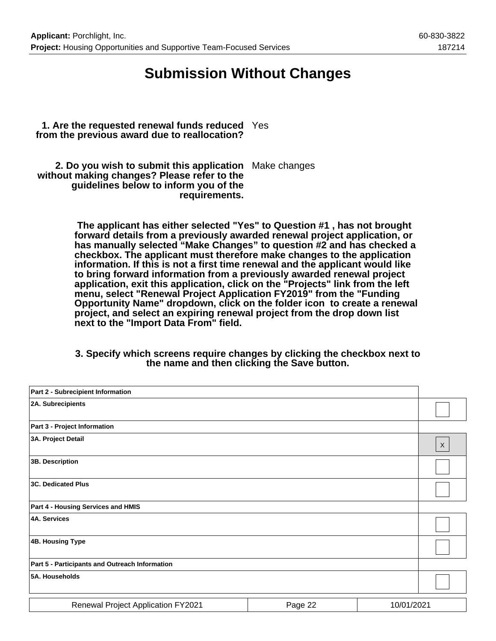## **Submission Without Changes**

**1. Are the requested renewal funds reduced** Yes **from the previous award due to reallocation?**

**2. Do you wish to submit this application** Make changes **without making changes? Please refer to the guidelines below to inform you of the requirements.**

> **The applicant has either selected "Yes" to Question #1 , has not brought forward details from a previously awarded renewal project application, or has manually selected "Make Changes" to question #2 and has checked a checkbox. The applicant must therefore make changes to the application information. If this is not a first time renewal and the applicant would like to bring forward information from a previously awarded renewal project application, exit this application, click on the "Projects" link from the left menu, select "Renewal Project Application FY2019" from the "Funding Opportunity Name" dropdown, click on the folder icon to create a renewal project, and select an expiring renewal project from the drop down list next to the "Import Data From" field.**

> **3. Specify which screens require changes by clicking the checkbox next to the name and then clicking the Save button.**

| Part 2 - Subrecipient Information              |         |                           |  |
|------------------------------------------------|---------|---------------------------|--|
| 2A. Subrecipients                              |         |                           |  |
| Part 3 - Project Information                   |         |                           |  |
| 3A. Project Detail                             |         | $\boldsymbol{\mathsf{X}}$ |  |
| 3B. Description                                |         |                           |  |
| <b>3C. Dedicated Plus</b>                      |         |                           |  |
| Part 4 - Housing Services and HMIS             |         |                           |  |
| <b>4A. Services</b>                            |         |                           |  |
| 4B. Housing Type                               |         |                           |  |
| Part 5 - Participants and Outreach Information |         |                           |  |
| 5A. Households                                 |         |                           |  |
| <b>Renewal Project Application FY2021</b>      | Page 22 | 10/01/2021                |  |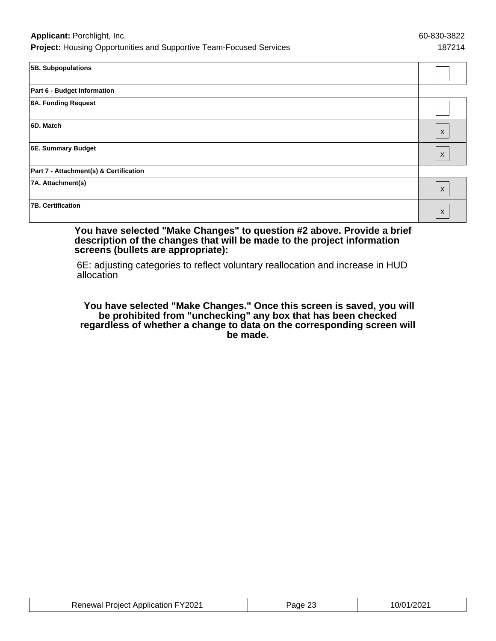| 5B. Subpopulations                     |                           |
|----------------------------------------|---------------------------|
| Part 6 - Budget Information            |                           |
| 6A. Funding Request                    |                           |
| 6D. Match                              | $\boldsymbol{\mathsf{X}}$ |
| 6E. Summary Budget                     | $\boldsymbol{\mathsf{X}}$ |
| Part 7 - Attachment(s) & Certification |                           |
| 7A. Attachment(s)                      | $\mathsf X$               |
| <b>7B. Certification</b>               | $\boldsymbol{\mathsf{X}}$ |

#### **You have selected "Make Changes" to question #2 above. Provide a brief description of the changes that will be made to the project information screens (bullets are appropriate):**

6E: adjusting categories to reflect voluntary reallocation and increase in HUD allocation

 **You have selected "Make Changes." Once this screen is saved, you will be prohibited from "unchecking" any box that has been checked regardless of whether a change to data on the corresponding screen will be made.**

| <b>Renewal Project Application FY2021</b> | Page 23 | 10/01/2021 |
|-------------------------------------------|---------|------------|
|-------------------------------------------|---------|------------|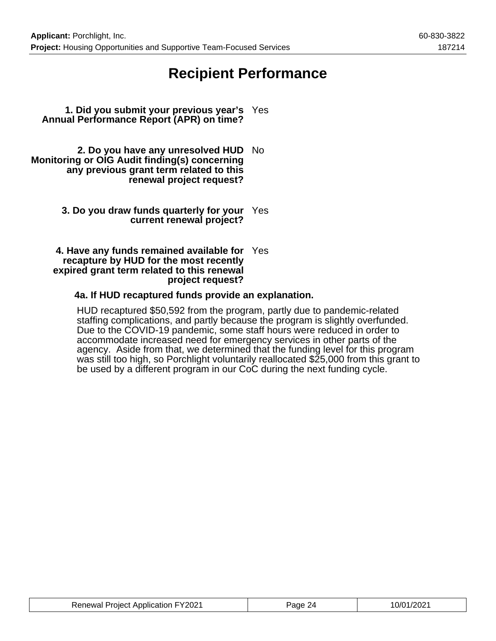## **Recipient Performance**

- **1. Did you submit your previous year's** Yes **Annual Performance Report (APR) on time?**
- **2. Do you have any unresolved HUD** No **Monitoring or OIG Audit finding(s) concerning any previous grant term related to this renewal project request?**
	- **3. Do you draw funds quarterly for your** Yes **current renewal project?**

#### **4. Have any funds remained available for** Yes **recapture by HUD for the most recently expired grant term related to this renewal project request?**

### **4a. If HUD recaptured funds provide an explanation.**

HUD recaptured \$50,592 from the program, partly due to pandemic-related staffing complications, and partly because the program is slightly overfunded. Due to the COVID-19 pandemic, some staff hours were reduced in order to accommodate increased need for emergency services in other parts of the agency. Aside from that, we determined that the funding level for this program was still too high, so Porchlight voluntarily reallocated \$25,000 from this grant to be used by a different program in our CoC during the next funding cycle.

| <b>Renewal Project Application FY2021</b> | age. | 10/01/2021 |
|-------------------------------------------|------|------------|
|-------------------------------------------|------|------------|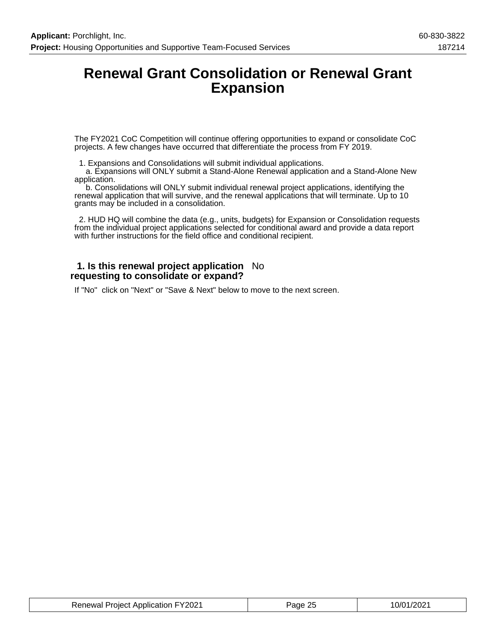## **Renewal Grant Consolidation or Renewal Grant Expansion**

The FY2021 CoC Competition will continue offering opportunities to expand or consolidate CoC projects. A few changes have occurred that differentiate the process from FY 2019.

1. Expansions and Consolidations will submit individual applications.

 a. Expansions will ONLY submit a Stand-Alone Renewal application and a Stand-Alone New application.

 b. Consolidations will ONLY submit individual renewal project applications, identifying the renewal application that will survive, and the renewal applications that will terminate. Up to 10 grants may be included in a consolidation.

 2. HUD HQ will combine the data (e.g., units, budgets) for Expansion or Consolidation requests from the individual project applications selected for conditional award and provide a data report with further instructions for the field office and conditional recipient.

#### **1. Is this renewal project application** No **requesting to consolidate or expand?**

If "No" click on "Next" or "Save & Next" below to move to the next screen.

| <b>Renewal Project Application FY2021</b> | Page 25 | 10/01/2021 |
|-------------------------------------------|---------|------------|
|-------------------------------------------|---------|------------|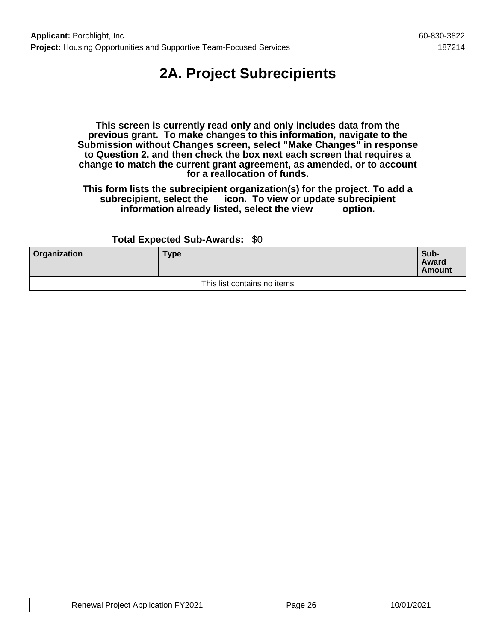## **2A. Project Subrecipients**

**This screen is currently read only and only includes data from the previous grant. To make changes to this information, navigate to the Submission without Changes screen, select "Make Changes" in response to Question 2, and then check the box next each screen that requires a change to match the current grant agreement, as amended, or to account for a reallocation of funds.**

**This form lists the subrecipient organization(s) for the project. To add a subrecipient, select the icon. To view or update subrecipient** information already listed, select the view

### **Total Expected Sub-Awards:** \$0

| Organization | <b>Type</b>                 | Sub-<br>Award<br><b>Amount</b> |
|--------------|-----------------------------|--------------------------------|
|              | This list contains no items |                                |

| <b>Renewal Project Application FY2021</b> | Page 26 | 10/01/2021 |
|-------------------------------------------|---------|------------|
|-------------------------------------------|---------|------------|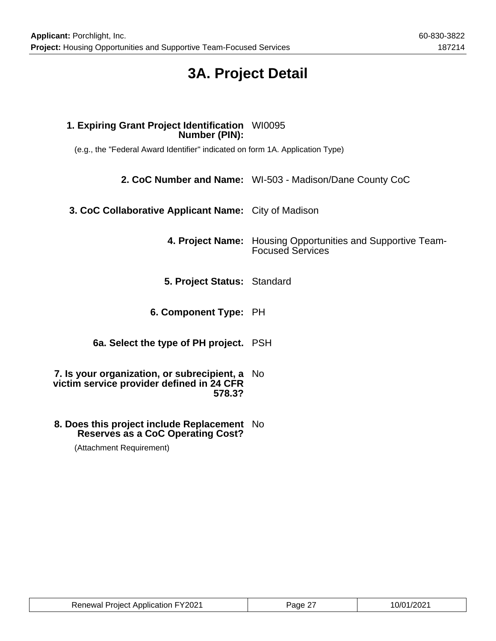## **3A. Project Detail**

# **1. Expiring Grant Project Identification** WI0095 **Number (PIN):** (e.g., the "Federal Award Identifier" indicated on form 1A. Application Type) **2. CoC Number and Name:** WI-503 - Madison/Dane County CoC **3. CoC Collaborative Applicant Name:** City of Madison **4. Project Name:** Housing Opportunities and Supportive Team-Focused Services **5. Project Status:** Standard **6. Component Type:** PH **6a. Select the type of PH project.** PSH **7. Is your organization, or subrecipient, a** No **victim service provider defined in 24 CFR 578.3?**

**8. Does this project include Replacement** No **Reserves as a CoC Operating Cost?**

(Attachment Requirement)

| <b>Renewal Project Application FY2021</b> | Page 27 | 10/01/2021 |
|-------------------------------------------|---------|------------|
|-------------------------------------------|---------|------------|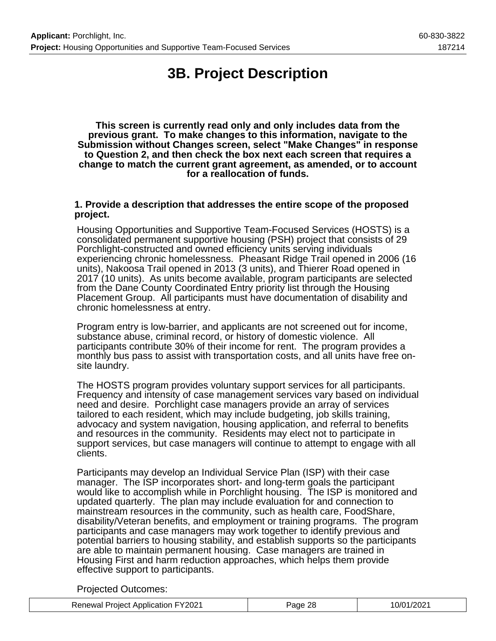## **3B. Project Description**

**This screen is currently read only and only includes data from the previous grant. To make changes to this information, navigate to the Submission without Changes screen, select "Make Changes" in response to Question 2, and then check the box next each screen that requires a change to match the current grant agreement, as amended, or to account for a reallocation of funds.**

### **1. Provide a description that addresses the entire scope of the proposed project.**

Housing Opportunities and Supportive Team-Focused Services (HOSTS) is a consolidated permanent supportive housing (PSH) project that consists of 29 Porchlight-constructed and owned efficiency units serving individuals experiencing chronic homelessness. Pheasant Ridge Trail opened in 2006 (16 units), Nakoosa Trail opened in 2013 (3 units), and Thierer Road opened in 2017 (10 units). As units become available, program participants are selected from the Dane County Coordinated Entry priority list through the Housing Placement Group. All participants must have documentation of disability and chronic homelessness at entry.

Program entry is low-barrier, and applicants are not screened out for income, substance abuse, criminal record, or history of domestic violence. All participants contribute 30% of their income for rent. The program provides a monthly bus pass to assist with transportation costs, and all units have free onsite laundry.

The HOSTS program provides voluntary support services for all participants. Frequency and intensity of case management services vary based on individual need and desire. Porchlight case managers provide an array of services tailored to each resident, which may include budgeting, job skills training, advocacy and system navigation, housing application, and referral to benefits and resources in the community. Residents may elect not to participate in support services, but case managers will continue to attempt to engage with all clients.

Participants may develop an Individual Service Plan (ISP) with their case manager. The ISP incorporates short- and long-term goals the participant would like to accomplish while in Porchlight housing. The ISP is monitored and updated quarterly. The plan may include evaluation for and connection to mainstream resources in the community, such as health care, FoodShare, disability/Veteran benefits, and employment or training programs. The program participants and case managers may work together to identify previous and potential barriers to housing stability, and establish supports so the participants are able to maintain permanent housing. Case managers are trained in Housing First and harm reduction approaches, which helps them provide effective support to participants.

Projected Outcomes:

| <b>Renewal Project Application FY2021</b> | Page 28 | 10/01/2021 |
|-------------------------------------------|---------|------------|
|-------------------------------------------|---------|------------|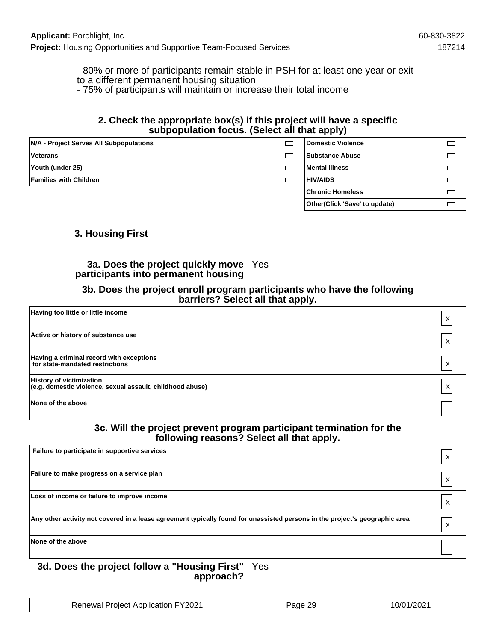- 80% or more of participants remain stable in PSH for at least one year or exit to a different permanent housing situation

- 75% of participants will maintain or increase their total income

#### **2. Check the appropriate box(s) if this project will have a specific subpopulation focus. (Select all that apply)**

| N/A - Project Serves All Subpopulations | Domestic Violence              |  |
|-----------------------------------------|--------------------------------|--|
| <b>Veterans</b>                         | Substance Abuse                |  |
| Youth (under 25)                        | Mental Illness                 |  |
| <b>Families with Children</b>           | <b>HIV/AIDS</b>                |  |
|                                         | <b>Chronic Homeless</b>        |  |
|                                         | Other (Click 'Save' to update) |  |

### **3. Housing First**

### **3a. Does the project quickly move** Yes **participants into permanent housing**

#### **3b. Does the project enroll program participants who have the following barriers? Select all that apply.**

| Having too little or little income                                                           | Х |
|----------------------------------------------------------------------------------------------|---|
| Active or history of substance use                                                           | X |
| Having a criminal record with exceptions<br>for state-mandated restrictions                  | X |
| <b>History of victimization</b><br>(e.g. domestic violence, sexual assault, childhood abuse) | X |
| None of the above                                                                            |   |

### **3c. Will the project prevent program participant termination for the following reasons? Select all that apply.**

| Failure to participate in supportive services                                                                               |  |
|-----------------------------------------------------------------------------------------------------------------------------|--|
| Failure to make progress on a service plan                                                                                  |  |
| Loss of income or failure to improve income                                                                                 |  |
| Any other activity not covered in a lease agreement typically found for unassisted persons in the project's geographic area |  |
| None of the above                                                                                                           |  |

#### **3d. Does the project follow a "Housing First"** Yes **approach?**

| <b>Renewal Project Application FY2021</b> | Page 29 | 10/01/2021 |
|-------------------------------------------|---------|------------|
|-------------------------------------------|---------|------------|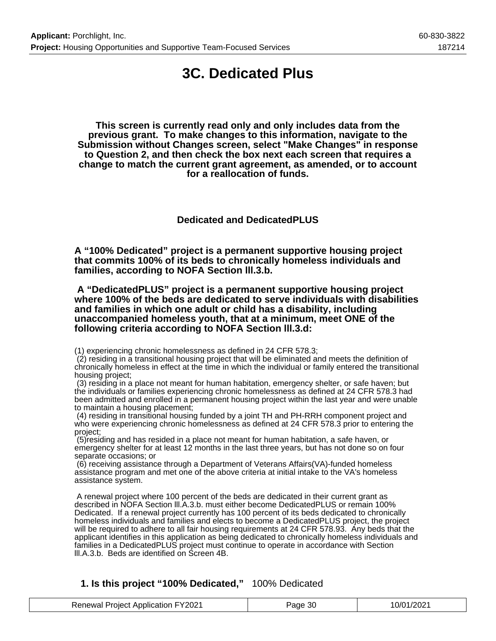## **3C. Dedicated Plus**

**This screen is currently read only and only includes data from the previous grant. To make changes to this information, navigate to the Submission without Changes screen, select "Make Changes" in response to Question 2, and then check the box next each screen that requires a change to match the current grant agreement, as amended, or to account for a reallocation of funds.**

**Dedicated and DedicatedPLUS**

**A "100% Dedicated" project is a permanent supportive housing project that commits 100% of its beds to chronically homeless individuals and families, according to NOFA Section lll.3.b.**

 **A "DedicatedPLUS" project is a permanent supportive housing project where 100% of the beds are dedicated to serve individuals with disabilities and families in which one adult or child has a disability, including unaccompanied homeless youth, that at a minimum, meet ONE of the following criteria according to NOFA Section lll.3.d:**

(1) experiencing chronic homelessness as defined in 24 CFR 578.3;

 (2) residing in a transitional housing project that will be eliminated and meets the definition of chronically homeless in effect at the time in which the individual or family entered the transitional housing project;

 (3) residing in a place not meant for human habitation, emergency shelter, or safe haven; but the individuals or families experiencing chronic homelessness as defined at 24 CFR 578.3 had been admitted and enrolled in a permanent housing project within the last year and were unable to maintain a housing placement;

 (4) residing in transitional housing funded by a joint TH and PH-RRH component project and who were experiencing chronic homelessness as defined at 24 CFR 578.3 prior to entering the project;

 (5)residing and has resided in a place not meant for human habitation, a safe haven, or emergency shelter for at least 12 months in the last three years, but has not done so on four separate occasions; or

 (6) receiving assistance through a Department of Veterans Affairs(VA)-funded homeless assistance program and met one of the above criteria at initial intake to the VA's homeless assistance system.

 A renewal project where 100 percent of the beds are dedicated in their current grant as described in NOFA Section lll.A.3.b. must either become DedicatedPLUS or remain 100% Dedicated. If a renewal project currently has 100 percent of its beds dedicated to chronically homeless individuals and families and elects to become a DedicatedPLUS project, the project will be required to adhere to all fair housing requirements at 24 CFR 578.93. Any beds that the applicant identifies in this application as being dedicated to chronically homeless individuals and families in a DedicatedPLUS project must continue to operate in accordance with Section lll.A.3.b. Beds are identified on Screen 4B.

### **1. Is this project "100% Dedicated,"** 100% Dedicated

| <b>Renewal Project Application FY2021</b> | Page 30 | 10/01/2021 |
|-------------------------------------------|---------|------------|
|-------------------------------------------|---------|------------|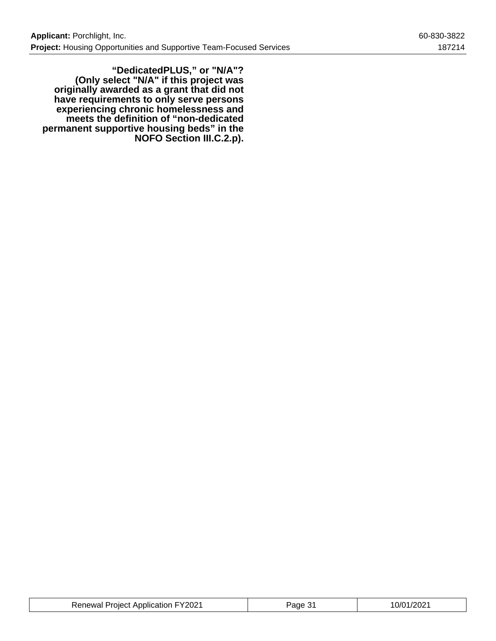**"DedicatedPLUS," or "N/A"? (Only select "N/A" if this project was originally awarded as a grant that did not have requirements to only serve persons experiencing chronic homelessness and meets the definition of "non-dedicated permanent supportive housing beds" in the NOFO Section III.C.2.p).**

| <b>Renewal Project Application FY2021</b> | ane | 10/01/2021 |
|-------------------------------------------|-----|------------|
|-------------------------------------------|-----|------------|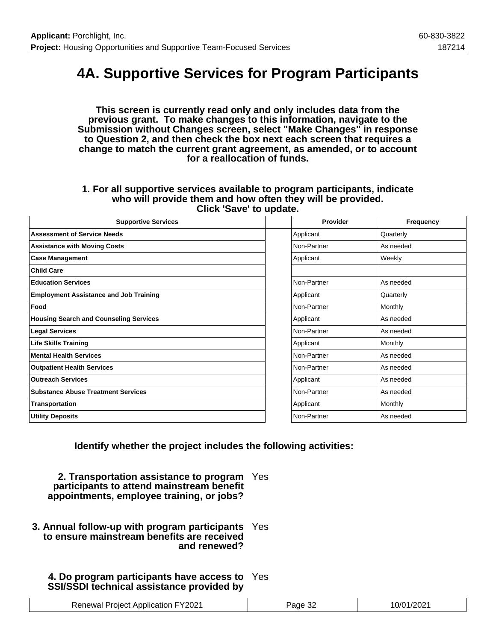## **4A. Supportive Services for Program Participants**

**This screen is currently read only and only includes data from the previous grant. To make changes to this information, navigate to the Submission without Changes screen, select "Make Changes" in response to Question 2, and then check the box next each screen that requires a change to match the current grant agreement, as amended, or to account for a reallocation of funds.**

#### **1. For all supportive services available to program participants, indicate who will provide them and how often they will be provided. Click 'Save' to update.**

| <b>Supportive Services</b>                    | Provider    | Frequency      |
|-----------------------------------------------|-------------|----------------|
| <b>Assessment of Service Needs</b>            | Applicant   | Quarterly      |
| <b>Assistance with Moving Costs</b>           | Non-Partner | As needed      |
| <b>Case Management</b>                        | Applicant   | Weekly         |
| <b>Child Care</b>                             |             |                |
| <b>Education Services</b>                     | Non-Partner | As needed      |
| <b>Employment Assistance and Job Training</b> | Applicant   | Quarterly      |
| Food                                          | Non-Partner | <b>Monthly</b> |
| <b>Housing Search and Counseling Services</b> | Applicant   | As needed      |
| <b>Legal Services</b>                         | Non-Partner | As needed      |
| <b>Life Skills Training</b>                   | Applicant   | Monthly        |
| <b>Mental Health Services</b>                 | Non-Partner | As needed      |
| <b>Outpatient Health Services</b>             | Non-Partner | As needed      |
| <b>Outreach Services</b>                      | Applicant   | As needed      |
| <b>Substance Abuse Treatment Services</b>     | Non-Partner | As needed      |
| Transportation                                | Applicant   | <b>Monthly</b> |
| <b>Utility Deposits</b>                       | Non-Partner | As needed      |

**Identify whether the project includes the following activities:**

**2. Transportation assistance to program** Yes **participants to attend mainstream benefit appointments, employee training, or jobs?**

**3. Annual follow-up with program participants** Yes **to ensure mainstream benefits are received and renewed?**

## **4. Do program participants have access to** Yes **SSI/SSDI technical assistance provided by**

| <b>Renewal Project Application FY2021</b> | Page 32 | 10/01/2021 |
|-------------------------------------------|---------|------------|
|-------------------------------------------|---------|------------|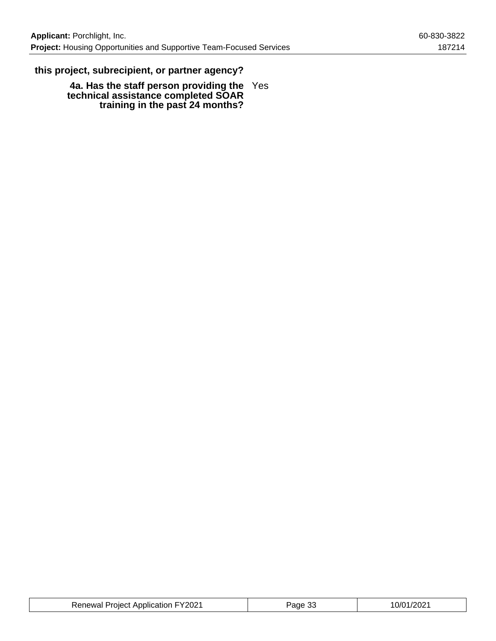## **this project, subrecipient, or partner agency?**

**4a. Has the staff person providing the technical assistance completed SOAR training in the past 24 months?** Yes

| <b>Renewal Project Application FY2021</b> | Page 33 | 10/01/2021 |
|-------------------------------------------|---------|------------|
|-------------------------------------------|---------|------------|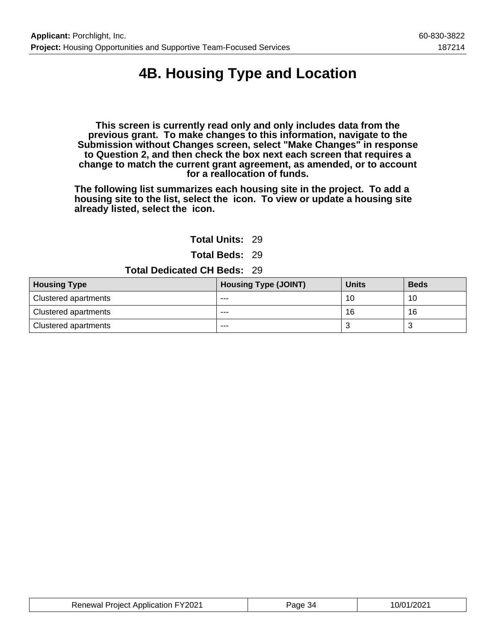## **4B. Housing Type and Location**

**This screen is currently read only and only includes data from the previous grant. To make changes to this information, navigate to the Submission without Changes screen, select "Make Changes" in response to Question 2, and then check the box next each screen that requires a change to match the current grant agreement, as amended, or to account for a reallocation of funds.**

**The following list summarizes each housing site in the project. To add a housing site to the list, select the icon. To view or update a housing site already listed, select the icon.**

**Total Units:** 29

**Total Beds:** 29

**Total Dedicated CH Beds:** 29

| <b>Housing Type</b>         | <b>Housing Type (JOINT)</b> | <b>Units</b> | <b>Beds</b> |
|-----------------------------|-----------------------------|--------------|-------------|
| <b>Clustered apartments</b> | ---                         | 10           | 10          |
| Clustered apartments        | ---                         | 16           | 16          |
| Clustered apartments        | ---                         |              |             |

| <b>Renewal Project Application FY2021</b> | Page 34 | 10/01/2021 |
|-------------------------------------------|---------|------------|
|-------------------------------------------|---------|------------|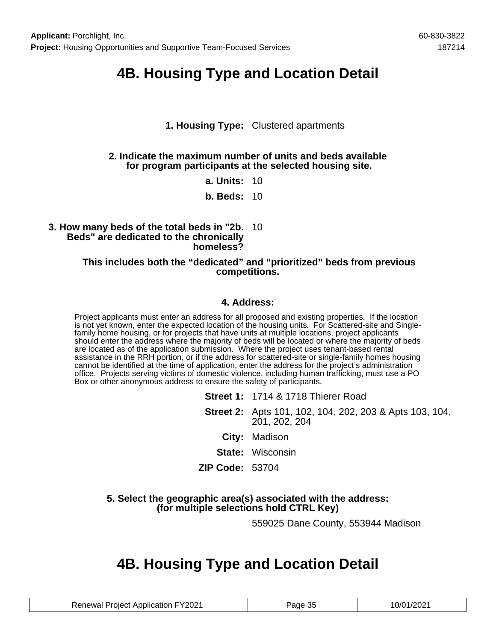## **4B. Housing Type and Location Detail**

## **1. Housing Type:** Clustered apartments

### **2. Indicate the maximum number of units and beds available for program participants at the selected housing site.**

**a. Units:** 10

**b. Beds:** 10

### **3. How many beds of the total beds in "2b.** 10 **Beds" are dedicated to the chronically homeless?**

### **This includes both the "dedicated" and "prioritized" beds from previous competitions.**

### **4. Address:**

Project applicants must enter an address for all proposed and existing properties. If the location is not yet known, enter the expected location of the housing units. For Scattered-site and Singlefamily home housing, or for projects that have units at multiple locations, project applicants should enter the address where the majority of beds will be located or where the majority of beds are located as of the application submission. Where the project uses tenant-based rental assistance in the RRH portion, or if the address for scattered-site or single-family homes housing cannot be identified at the time of application, enter the address for the project's administration office. Projects serving victims of domestic violence, including human trafficking, must use a PO Box or other anonymous address to ensure the safety of participants.

|                        | <b>Street 1: 1714 &amp; 1718 Thierer Road</b>                            |
|------------------------|--------------------------------------------------------------------------|
|                        | Street 2: Apts 101, 102, 104, 202, 203 & Apts 103, 104,<br>201, 202, 204 |
|                        | City: Madison                                                            |
|                        | <b>State:</b> Wisconsin                                                  |
| <b>ZIP Code:</b> 53704 |                                                                          |
|                        |                                                                          |

### **5. Select the geographic area(s) associated with the address: (for multiple selections hold CTRL Key)**

559025 Dane County, 553944 Madison

## **4B. Housing Type and Location Detail**

| <b>Renewal Project Application FY2021</b> | Page 35 | 10/01/2021 |
|-------------------------------------------|---------|------------|
|-------------------------------------------|---------|------------|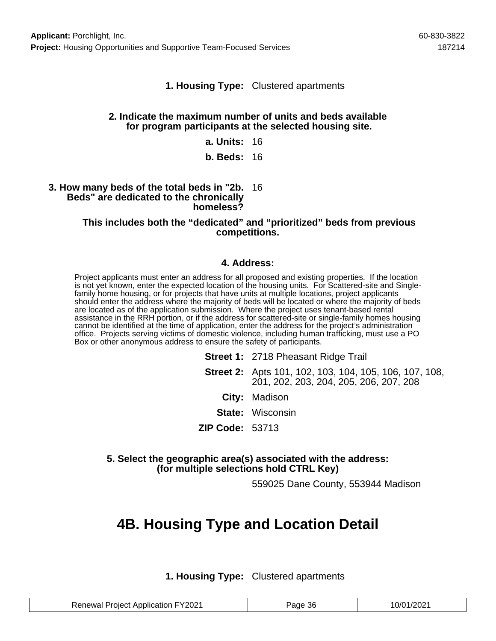### **1. Housing Type:** Clustered apartments

#### **2. Indicate the maximum number of units and beds available for program participants at the selected housing site.**

- **a. Units:** 16
- **b. Beds:** 16

#### **3. How many beds of the total beds in "2b.** 16 **Beds" are dedicated to the chronically homeless?**

#### **This includes both the "dedicated" and "prioritized" beds from previous competitions.**

### **4. Address:**

Project applicants must enter an address for all proposed and existing properties. If the location is not yet known, enter the expected location of the housing units. For Scattered-site and Singlefamily home housing, or for projects that have units at multiple locations, project applicants should enter the address where the majority of beds will be located or where the majority of beds are located as of the application submission. Where the project uses tenant-based rental assistance in the RRH portion, or if the address for scattered-site or single-family homes housing cannot be identified at the time of application, enter the address for the project's administration office. Projects serving victims of domestic violence, including human trafficking, must use a PO Box or other anonymous address to ensure the safety of participants.

> **Street 1:** 2718 Pheasant Ridge Trail **Street 2:** Apts 101, 102, 103, 104, 105, 106, 107, 108, 201, 202, 203, 204, 205, 206, 207, 208 **City:** Madison **State:** Wisconsin **ZIP Code:** 53713

**5. Select the geographic area(s) associated with the address: (for multiple selections hold CTRL Key)**

559025 Dane County, 553944 Madison

## **4B. Housing Type and Location Detail**

**1. Housing Type:** Clustered apartments

| <b>Renewal Project Application FY2021</b> | Page 36 | 10/01/2021 |
|-------------------------------------------|---------|------------|
|-------------------------------------------|---------|------------|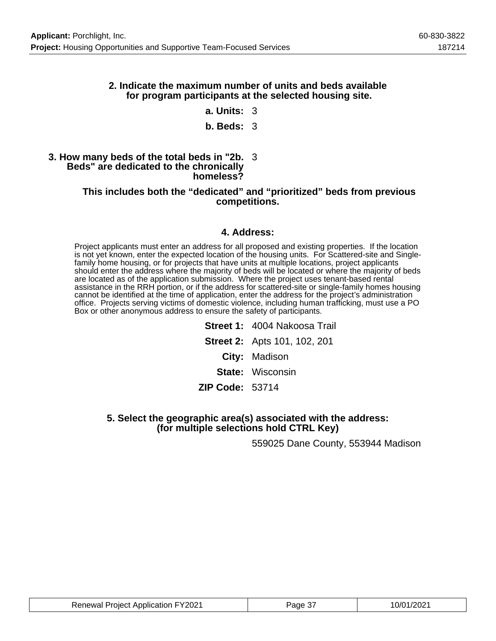### **2. Indicate the maximum number of units and beds available for program participants at the selected housing site.**

### **a. Units:** 3

### **b. Beds:** 3

#### **3. How many beds of the total beds in "2b.** 3 **Beds" are dedicated to the chronically homeless?**

#### **This includes both the "dedicated" and "prioritized" beds from previous competitions.**

### **4. Address:**

Project applicants must enter an address for all proposed and existing properties. If the location is not yet known, enter the expected location of the housing units. For Scattered-site and Singlefamily home housing, or for projects that have units at multiple locations, project applicants should enter the address where the majority of beds will be located or where the majority of beds are located as of the application submission. Where the project uses tenant-based rental assistance in the RRH portion, or if the address for scattered-site or single-family homes housing cannot be identified at the time of application, enter the address for the project's administration office. Projects serving victims of domestic violence, including human trafficking, must use a PO Box or other anonymous address to ensure the safety of participants.

> **Street 1:** 4004 Nakoosa Trail **Street 2:** Apts 101, 102, 201 **City:** Madison **State:** Wisconsin **ZIP Code:** 53714

**5. Select the geographic area(s) associated with the address: (for multiple selections hold CTRL Key)**

559025 Dane County, 553944 Madison

| <b>Renewal Project Application FY2021</b> | Page 3. | 10/01/2021 |
|-------------------------------------------|---------|------------|
|-------------------------------------------|---------|------------|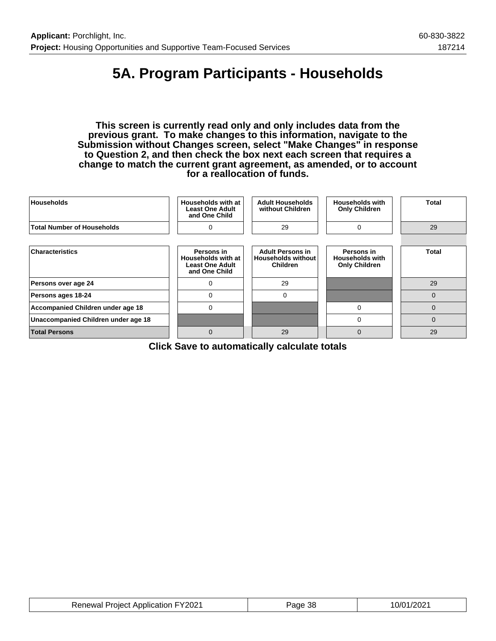## **5A. Program Participants - Households**

**This screen is currently read only and only includes data from the previous grant. To make changes to this information, navigate to the Submission without Changes screen, select "Make Changes" in response to Question 2, and then check the box next each screen that requires a change to match the current grant agreement, as amended, or to account for a reallocation of funds.**

| <b>Households</b>                   | Households with at<br><b>Least One Adult</b><br>and One Child               | <b>Adult Households</b><br>without Children                             | <b>Households with</b><br><b>Only Children</b>               | Total        |
|-------------------------------------|-----------------------------------------------------------------------------|-------------------------------------------------------------------------|--------------------------------------------------------------|--------------|
| <b>Total Number of Households</b>   | $\Omega$                                                                    | 29                                                                      | 0                                                            | 29           |
|                                     |                                                                             |                                                                         |                                                              |              |
| <b>Characteristics</b>              | Persons in<br>Households with at<br><b>Least One Adult</b><br>and One Child | <b>Adult Persons in</b><br><b>Households without</b><br><b>Children</b> | Persons in<br><b>Households with</b><br><b>Only Children</b> | <b>Total</b> |
| Persons over age 24                 | $\Omega$                                                                    | 29                                                                      |                                                              | 29           |
| Persons ages 18-24                  | 0                                                                           | $\Omega$                                                                |                                                              | 0            |
| Accompanied Children under age 18   | 0                                                                           |                                                                         | 0                                                            | 0            |
| Unaccompanied Children under age 18 |                                                                             |                                                                         | $\Omega$                                                     | 0            |
| <b>Total Persons</b>                | $\Omega$                                                                    | 29                                                                      | $\mathbf 0$                                                  | 29           |

**Click Save to automatically calculate totals**

| <b>Renewal Project Application FY2021</b> | Page 38 | 10/01/2021 |
|-------------------------------------------|---------|------------|
|-------------------------------------------|---------|------------|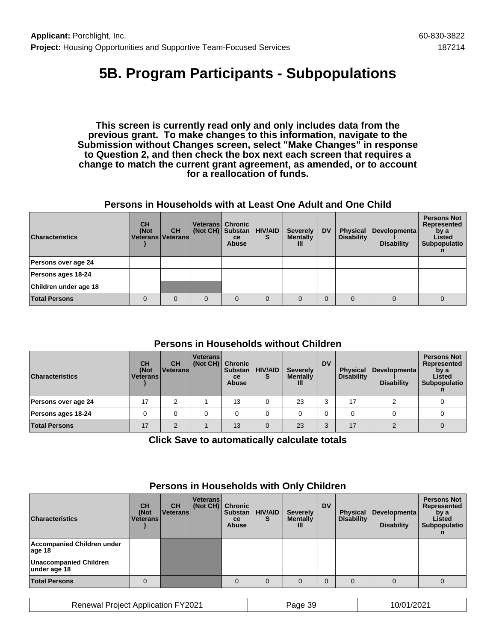## **5B. Program Participants - Subpopulations**

**This screen is currently read only and only includes data from the previous grant. To make changes to this information, navigate to the Submission without Changes screen, select "Make Changes" in response to Question 2, and then check the box next each screen that requires a change to match the current grant agreement, as amended, or to account for a reallocation of funds.**

### **Persons in Households with at Least One Adult and One Child**

| <b>Characteristics</b> | <b>CH</b><br>(Not<br>Veterans   Veterans | <b>CH</b> | Veterans   Chronic<br>(Not CH) Substan | <b>ce</b><br><b>Abuse</b> | <b>HIV/AID</b><br>s | <b>Severely</b><br><b>Mentally</b><br>Ш | <b>DV</b> | <b>Physical</b><br><b>Disability</b> | Developmenta<br><b>Disability</b> | <b>Persons Not</b><br>Represented<br>by a<br>Listed<br>Subpopulatio |
|------------------------|------------------------------------------|-----------|----------------------------------------|---------------------------|---------------------|-----------------------------------------|-----------|--------------------------------------|-----------------------------------|---------------------------------------------------------------------|
| Persons over age 24    |                                          |           |                                        |                           |                     |                                         |           |                                      |                                   |                                                                     |
| Persons ages 18-24     |                                          |           |                                        |                           |                     |                                         |           |                                      |                                   |                                                                     |
| Children under age 18  |                                          |           |                                        |                           |                     |                                         |           |                                      |                                   |                                                                     |
| <b>Total Persons</b>   | 0                                        | $\Omega$  | 0                                      | $\Omega$                  | $\Omega$            |                                         |           |                                      |                                   | 0                                                                   |

## **Persons in Households without Children**

| <b>Characteristics</b> | <b>CH</b><br>(Not<br><b>Veterans</b> | <b>CH</b><br>l Veterans l | <b>Veterans</b><br>(Not CH) Chronic | <b>Substan</b><br><b>ce</b><br><b>Abuse</b> | <b>HIV/AID</b> | <b>Severely</b><br><b>Mentally</b><br>Ш | <b>DV</b> | <b>Physical</b><br><b>Disability</b> | Developmenta  <br><b>Disability</b> | <b>Persons Not</b><br>Represented<br>by a<br>Listed<br>Subpopulatio |
|------------------------|--------------------------------------|---------------------------|-------------------------------------|---------------------------------------------|----------------|-----------------------------------------|-----------|--------------------------------------|-------------------------------------|---------------------------------------------------------------------|
| Persons over age 24    | 17                                   | ົ                         |                                     | 13                                          |                | 23                                      |           | 17                                   |                                     |                                                                     |
| Persons ages 18-24     |                                      |                           |                                     |                                             |                |                                         |           |                                      |                                     |                                                                     |
| <b>Total Persons</b>   | 17                                   | $\sim$                    |                                     | 13                                          | $\Omega$       | 23                                      | $\Omega$  | 17                                   |                                     |                                                                     |

**Click Save to automatically calculate totals**

| <b>Characteristics</b>                        | <b>CH</b><br>(Not<br><b>Veterans</b> | <b>CH</b><br>Veterans | <b>Veterans</b><br>$\vert$ (Not CH) $\vert$ | <b>Chronic</b><br><b>Substan</b><br><b>ce</b><br><b>Abuse</b> | <b>HIV/AID</b> | <b>Severely</b><br><b>Mentally</b><br>Ш | <b>DV</b> | <b>Physical</b><br><b>Disability</b> | Developmenta<br><b>Disability</b> | <b>Persons Not</b><br>Represented<br>by a<br>Listed<br>Subpopulatio |
|-----------------------------------------------|--------------------------------------|-----------------------|---------------------------------------------|---------------------------------------------------------------|----------------|-----------------------------------------|-----------|--------------------------------------|-----------------------------------|---------------------------------------------------------------------|
| Accompanied Children under<br>age 18          |                                      |                       |                                             |                                                               |                |                                         |           |                                      |                                   |                                                                     |
| <b>Unaccompanied Children</b><br>under age 18 |                                      |                       |                                             |                                                               |                |                                         |           |                                      |                                   |                                                                     |
| <b>Total Persons</b>                          |                                      |                       |                                             | $\Omega$                                                      | $\Omega$       |                                         |           |                                      |                                   |                                                                     |

## **Persons in Households with Only Children**

Renewal Project Application FY2021 Page 39 10/01/2021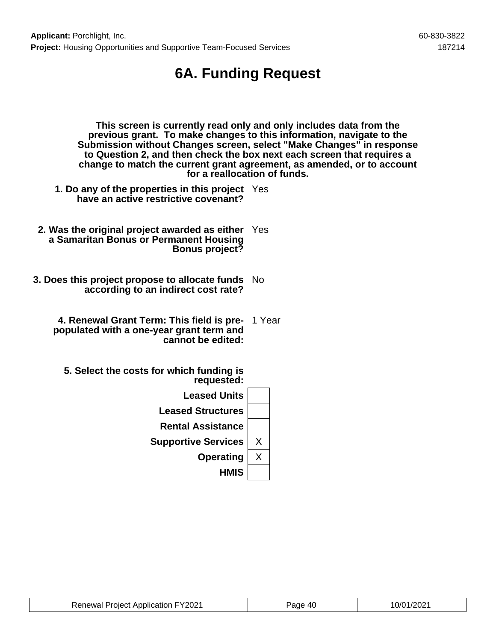## **6A. Funding Request**

| This screen is currently read only and only includes data from the<br>previous grant. To make changes to this information, navigate to the<br>Submission without Changes screen, select "Make Changes" in response<br>to Question 2, and then check the box next each screen that requires a<br>change to match the current grant agreement, as amended, or to account<br>for a reallocation of funds. |        |  |  |  |  |  |
|--------------------------------------------------------------------------------------------------------------------------------------------------------------------------------------------------------------------------------------------------------------------------------------------------------------------------------------------------------------------------------------------------------|--------|--|--|--|--|--|
| 1. Do any of the properties in this project Yes<br>have an active restrictive covenant?                                                                                                                                                                                                                                                                                                                |        |  |  |  |  |  |
| 2. Was the original project awarded as either Yes<br>a Samaritan Bonus or Permanent Housing<br><b>Bonus project?</b>                                                                                                                                                                                                                                                                                   |        |  |  |  |  |  |
| 3. Does this project propose to allocate funds No<br>according to an indirect cost rate?                                                                                                                                                                                                                                                                                                               |        |  |  |  |  |  |
| 4. Renewal Grant Term: This field is pre-<br>populated with a one-year grant term and<br>cannot be edited:                                                                                                                                                                                                                                                                                             | 1 Year |  |  |  |  |  |
| 5. Select the costs for which funding is<br>requested:                                                                                                                                                                                                                                                                                                                                                 |        |  |  |  |  |  |
| <b>Leased Units</b>                                                                                                                                                                                                                                                                                                                                                                                    |        |  |  |  |  |  |
| <b>Leased Structures</b>                                                                                                                                                                                                                                                                                                                                                                               |        |  |  |  |  |  |
| <b>Rental Assistance</b>                                                                                                                                                                                                                                                                                                                                                                               |        |  |  |  |  |  |
| <b>Supportive Services</b>                                                                                                                                                                                                                                                                                                                                                                             | X      |  |  |  |  |  |
| <b>Operating</b>                                                                                                                                                                                                                                                                                                                                                                                       | X      |  |  |  |  |  |

**HMIS**

| <b>Renewal Project Application FY2021</b> | Page 40 | 10/01/2021 |
|-------------------------------------------|---------|------------|
|-------------------------------------------|---------|------------|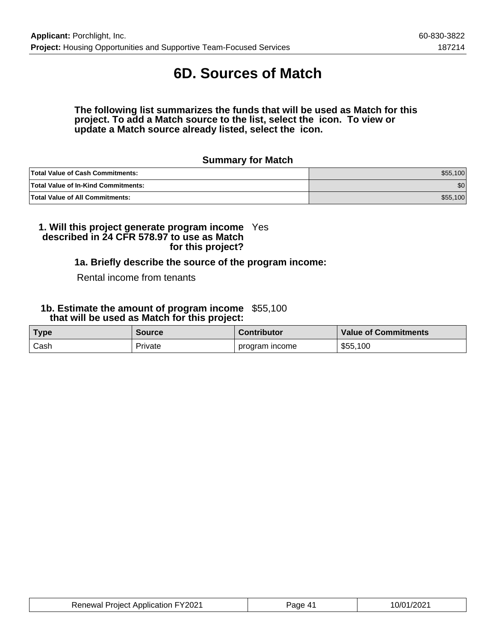## **6D. Sources of Match**

**The following list summarizes the funds that will be used as Match for this project. To add a Match source to the list, select the icon. To view or update a Match source already listed, select the icon.**

### **Summary for Match**

| <b>Total Value of Cash Commitments:</b>    | \$55.100 |
|--------------------------------------------|----------|
| <b>Total Value of In-Kind Commitments:</b> | \$0      |
| <b>Total Value of All Commitments:</b>     | \$55,100 |

#### **1. Will this project generate program income described in 24 CFR 578.97 to use as Match for this project?** Yes

### **1a. Briefly describe the source of the program income:**

#### Rental income from tenants

#### **1b. Estimate the amount of program income** \$55,100  **that will be used as Match for this project:**

| <b>Type</b> | <b>Source</b> | <b>Contributor</b> | <b>Value of Commitments</b> |
|-------------|---------------|--------------------|-----------------------------|
| Cash        | Private       | program income     | \$55,100                    |

| <b>Renewal Project Application FY2021</b> | Page 41 | 10/01/2021 |
|-------------------------------------------|---------|------------|
|                                           |         |            |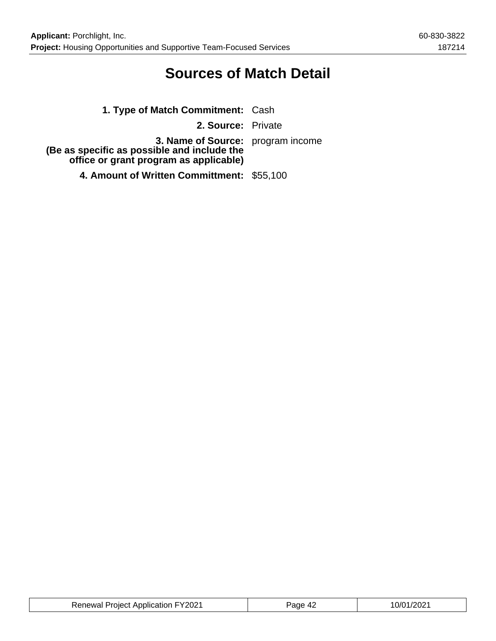## **Sources of Match Detail**

| 1. Type of Match Commitment: Cash                                                                                                 |  |
|-----------------------------------------------------------------------------------------------------------------------------------|--|
| 2. Source: Private                                                                                                                |  |
| <b>3. Name of Source:</b> program income<br>(Be as specific as possible and include the<br>office or grant program as applicable) |  |
| 4. Amount of Written Committment: \$55,100                                                                                        |  |

| <b>Renewal Project Application FY2021</b> | Page 42 | 10/01/2021 |
|-------------------------------------------|---------|------------|
|-------------------------------------------|---------|------------|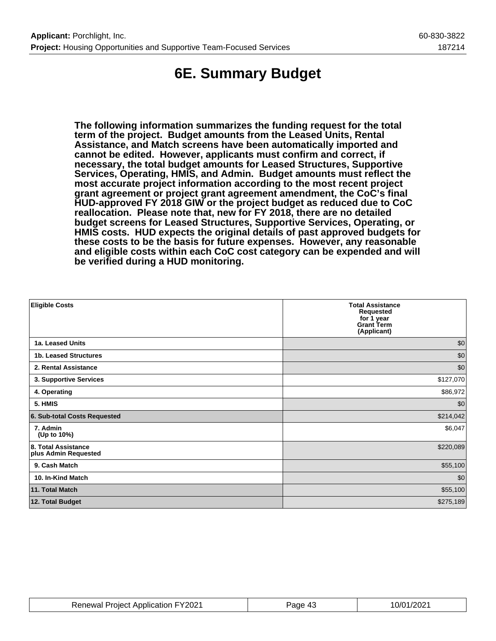## **6E. Summary Budget**

**The following information summarizes the funding request for the total term of the project. Budget amounts from the Leased Units, Rental Assistance, and Match screens have been automatically imported and cannot be edited. However, applicants must confirm and correct, if necessary, the total budget amounts for Leased Structures, Supportive Services, Operating, HMIS, and Admin. Budget amounts must reflect the most accurate project information according to the most recent project grant agreement or project grant agreement amendment, the CoC's final HUD-approved FY 2018 GIW or the project budget as reduced due to CoC reallocation. Please note that, new for FY 2018, there are no detailed budget screens for Leased Structures, Supportive Services, Operating, or HMIS costs. HUD expects the original details of past approved budgets for these costs to be the basis for future expenses. However, any reasonable and eligible costs within each CoC cost category can be expended and will be verified during a HUD monitoring.**

| <b>Eligible Costs</b>                       | <b>Total Assistance</b><br><b>Requested</b><br>for 1 year<br><b>Grant Term</b><br>(Applicant) |
|---------------------------------------------|-----------------------------------------------------------------------------------------------|
| 1a. Leased Units                            | \$0                                                                                           |
| 1b. Leased Structures                       | \$0                                                                                           |
| 2. Rental Assistance                        | \$0                                                                                           |
| 3. Supportive Services                      | \$127,070                                                                                     |
| 4. Operating                                | \$86,972                                                                                      |
| 5. HMIS                                     | \$0                                                                                           |
| 6. Sub-total Costs Requested                | \$214,042                                                                                     |
| 7. Admin<br>(Up to 10%)                     | \$6,047                                                                                       |
| 8. Total Assistance<br>plus Admin Requested | \$220,089                                                                                     |
| 9. Cash Match                               | \$55,100                                                                                      |
| 10. In-Kind Match                           | \$0                                                                                           |
| 11. Total Match                             | \$55,100                                                                                      |
| 12. Total Budget                            | \$275,189                                                                                     |

| <b>Renewal Project Application FY2021</b> | Page 43 | 10/01/2021 |
|-------------------------------------------|---------|------------|
|-------------------------------------------|---------|------------|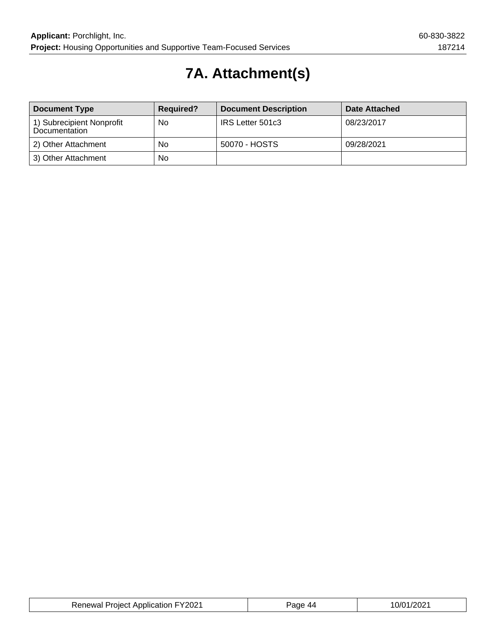## **7A. Attachment(s)**

| <b>Document Type</b>                       | <b>Required?</b> | <b>Document Description</b> | Date Attached |
|--------------------------------------------|------------------|-----------------------------|---------------|
| 1) Subrecipient Nonprofit<br>Documentation | No               | IRS Letter 501c3            | 08/23/2017    |
| 2) Other Attachment                        | No               | 50070 - HOSTS               | 09/28/2021    |
| 3) Other Attachment                        | No               |                             |               |

| <b>Renewal Project Application FY2021</b> | Paqe 44 | 10/01/2021 |
|-------------------------------------------|---------|------------|
|-------------------------------------------|---------|------------|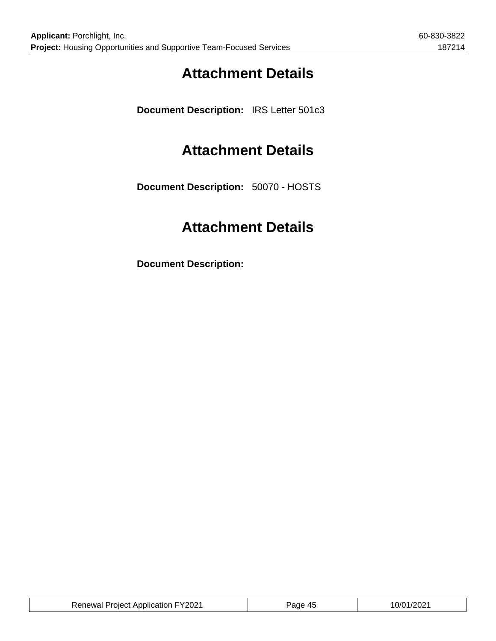## **Attachment Details**

**Document Description:** IRS Letter 501c3

## **Attachment Details**

**Document Description:** 50070 - HOSTS

## **Attachment Details**

**Document Description:**

| <b>Renewal Project Application FY2021</b> | Page 45 | 10/01/2021 |
|-------------------------------------------|---------|------------|
|                                           |         |            |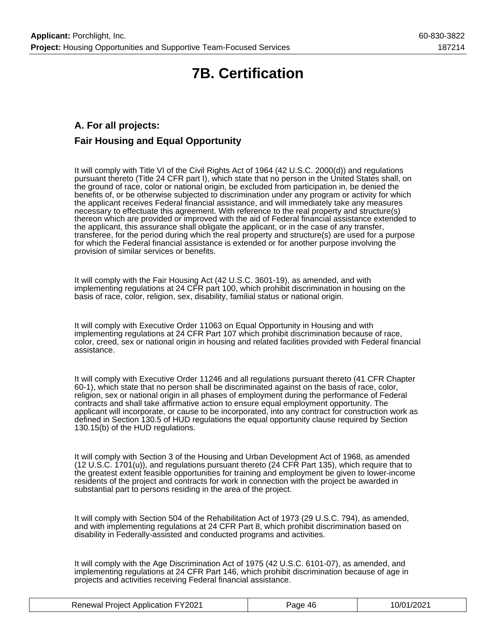## **7B. Certification**

## **A. For all projects: Fair Housing and Equal Opportunity**

It will comply with Title VI of the Civil Rights Act of 1964 (42 U.S.C. 2000(d)) and regulations pursuant thereto (Title 24 CFR part I), which state that no person in the United States shall, on the ground of race, color or national origin, be excluded from participation in, be denied the benefits of, or be otherwise subjected to discrimination under any program or activity for which the applicant receives Federal financial assistance, and will immediately take any measures necessary to effectuate this agreement. With reference to the real property and structure(s) thereon which are provided or improved with the aid of Federal financial assistance extended to the applicant, this assurance shall obligate the applicant, or in the case of any transfer, transferee, for the period during which the real property and structure(s) are used for a purpose for which the Federal financial assistance is extended or for another purpose involving the provision of similar services or benefits.

It will comply with the Fair Housing Act (42 U.S.C. 3601-19), as amended, and with implementing regulations at 24 CFR part 100, which prohibit discrimination in housing on the basis of race, color, religion, sex, disability, familial status or national origin.

It will comply with Executive Order 11063 on Equal Opportunity in Housing and with implementing regulations at 24 CFR Part 107 which prohibit discrimination because of race, color, creed, sex or national origin in housing and related facilities provided with Federal financial assistance.

It will comply with Executive Order 11246 and all regulations pursuant thereto (41 CFR Chapter 60-1), which state that no person shall be discriminated against on the basis of race, color, religion, sex or national origin in all phases of employment during the performance of Federal contracts and shall take affirmative action to ensure equal employment opportunity. The applicant will incorporate, or cause to be incorporated, into any contract for construction work as defined in Section 130.5 of HUD regulations the equal opportunity clause required by Section 130.15(b) of the HUD regulations.

It will comply with Section 3 of the Housing and Urban Development Act of 1968, as amended (12 U.S.C. 1701(u)), and regulations pursuant thereto (24 CFR Part 135), which require that to the greatest extent feasible opportunities for training and employment be given to lower-income residents of the project and contracts for work in connection with the project be awarded in substantial part to persons residing in the area of the project.

It will comply with Section 504 of the Rehabilitation Act of 1973 (29 U.S.C. 794), as amended, and with implementing regulations at 24 CFR Part 8, which prohibit discrimination based on disability in Federally-assisted and conducted programs and activities.

It will comply with the Age Discrimination Act of 1975 (42 U.S.C. 6101-07), as amended, and implementing regulations at 24 CFR Part 146, which prohibit discrimination because of age in projects and activities receiving Federal financial assistance.

| <b>Renewal Project Application FY2021</b> | Page 46 | 10/01/2021 |
|-------------------------------------------|---------|------------|
|-------------------------------------------|---------|------------|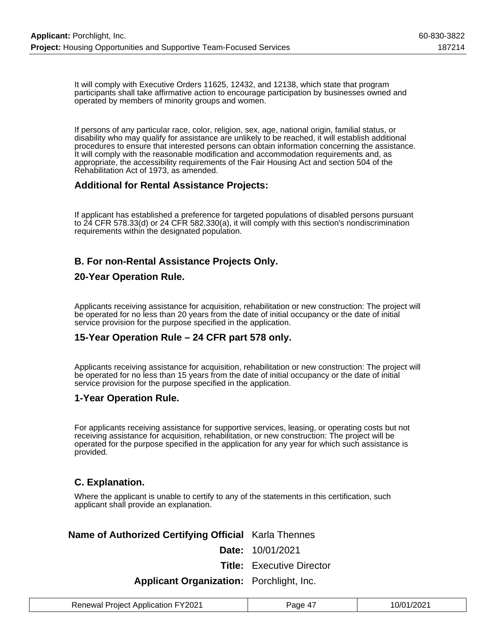It will comply with Executive Orders 11625, 12432, and 12138, which state that program participants shall take affirmative action to encourage participation by businesses owned and operated by members of minority groups and women.

If persons of any particular race, color, religion, sex, age, national origin, familial status, or disability who may qualify for assistance are unlikely to be reached, it will establish additional procedures to ensure that interested persons can obtain information concerning the assistance. It will comply with the reasonable modification and accommodation requirements and, as appropriate, the accessibility requirements of the Fair Housing Act and section 504 of the Rehabilitation Act of 1973, as amended.

### **Additional for Rental Assistance Projects:**

If applicant has established a preference for targeted populations of disabled persons pursuant to 24 CFR 578.33(d) or 24 CFR 582.330(a), it will comply with this section's nondiscrimination requirements within the designated population.

## **B. For non-Rental Assistance Projects Only.**

### **20-Year Operation Rule.**

Applicants receiving assistance for acquisition, rehabilitation or new construction: The project will be operated for no less than 20 years from the date of initial occupancy or the date of initial service provision for the purpose specified in the application.

## **15-Year Operation Rule – 24 CFR part 578 only.**

Applicants receiving assistance for acquisition, rehabilitation or new construction: The project will be operated for no less than 15 years from the date of initial occupancy or the date of initial service provision for the purpose specified in the application.

### **1-Year Operation Rule.**

For applicants receiving assistance for supportive services, leasing, or operating costs but not receiving assistance for acquisition, rehabilitation, or new construction: The project will be operated for the purpose specified in the application for any year for which such assistance is provided.

### **C. Explanation.**

Where the applicant is unable to certify to any of the statements in this certification, such applicant shall provide an explanation.

## **Name of Authorized Certifying Official** Karla Thennes

**Date:** 10/01/2021

**Title:** Executive Director

### **Applicant Organization:** Porchlight, Inc.

| <b>Renewal Project Application FY2021</b> | Page 47 | 10/01/2021 |
|-------------------------------------------|---------|------------|
|-------------------------------------------|---------|------------|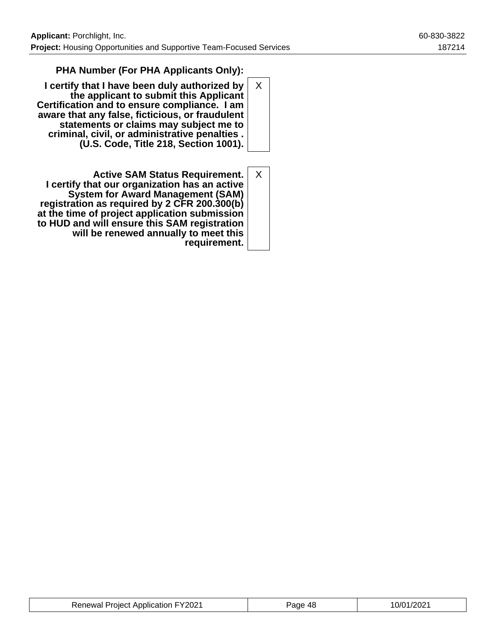## **PHA Number (For PHA Applicants Only):**

**I certify that I have been duly authorized by the applicant to submit this Applicant Certification and to ensure compliance. I am aware that any false, ficticious, or fraudulent statements or claims may subject me to criminal, civil, or administrative penalties . (U.S. Code, Title 218, Section 1001).** X

**Active SAM Status Requirement. I certify that our organization has an active System for Award Management (SAM) registration as required by 2 CFR 200.300(b) at the time of project application submission to HUD and will ensure this SAM registration will be renewed annually to meet this requirement.** X

| <b>Renewal Project Application FY2021</b> | Page 48 | 10/01/2021 |
|-------------------------------------------|---------|------------|
|-------------------------------------------|---------|------------|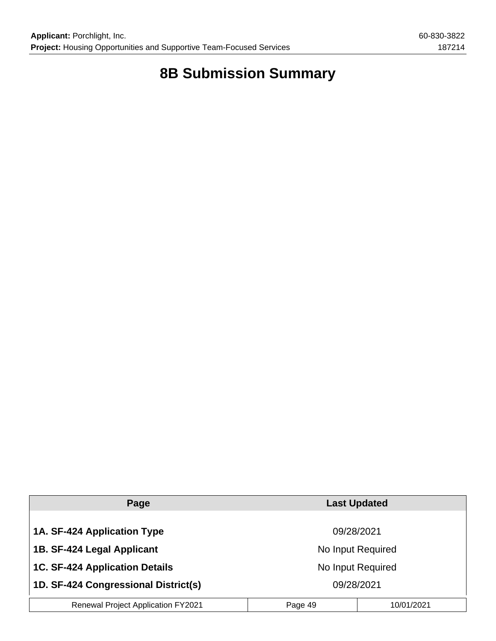## **8B Submission Summary**

| Page                                      | <b>Last Updated</b>   |  |  |
|-------------------------------------------|-----------------------|--|--|
|                                           |                       |  |  |
| 1A. SF-424 Application Type               | 09/28/2021            |  |  |
| 1B. SF-424 Legal Applicant                | No Input Required     |  |  |
| <b>1C. SF-424 Application Details</b>     | No Input Required     |  |  |
| 1D. SF-424 Congressional District(s)      | 09/28/2021            |  |  |
| <b>Renewal Project Application FY2021</b> | 10/01/2021<br>Page 49 |  |  |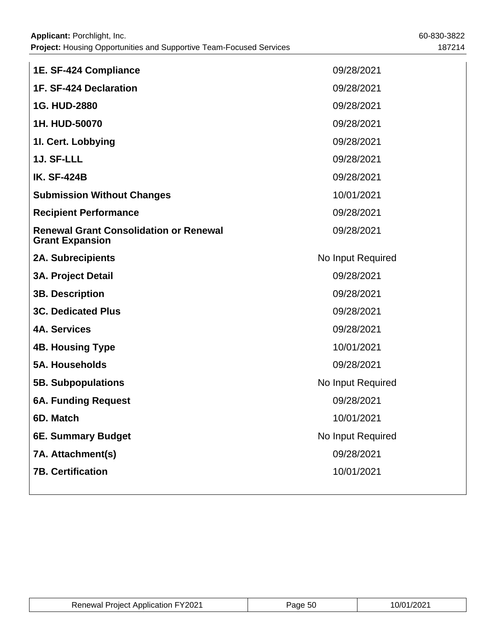| 1E. SF-424 Compliance                                                   | 09/28/2021        |
|-------------------------------------------------------------------------|-------------------|
| 1F. SF-424 Declaration                                                  | 09/28/2021        |
| 1G. HUD-2880                                                            | 09/28/2021        |
| 1H. HUD-50070                                                           | 09/28/2021        |
| 11. Cert. Lobbying                                                      | 09/28/2021        |
| 1J. SF-LLL                                                              | 09/28/2021        |
| <b>IK. SF-424B</b>                                                      | 09/28/2021        |
| <b>Submission Without Changes</b>                                       | 10/01/2021        |
| <b>Recipient Performance</b>                                            | 09/28/2021        |
| <b>Renewal Grant Consolidation or Renewal</b><br><b>Grant Expansion</b> | 09/28/2021        |
| <b>2A. Subrecipients</b>                                                | No Input Required |
| <b>3A. Project Detail</b>                                               | 09/28/2021        |
| <b>3B. Description</b>                                                  | 09/28/2021        |
| <b>3C. Dedicated Plus</b>                                               | 09/28/2021        |
| <b>4A. Services</b>                                                     | 09/28/2021        |
| <b>4B. Housing Type</b>                                                 | 10/01/2021        |
| <b>5A. Households</b>                                                   | 09/28/2021        |
| <b>5B. Subpopulations</b>                                               | No Input Required |
| <b>6A. Funding Request</b>                                              | 09/28/2021        |
| 6D. Match                                                               | 10/01/2021        |
| 6E. Summary Budget                                                      | No Input Required |
| 7A. Attachment(s)                                                       | 09/28/2021        |
| <b>7B. Certification</b>                                                | 10/01/2021        |
|                                                                         |                   |

| <b>Renewal Project Application FY2021</b> | Page 50 | 10/01/2021 |
|-------------------------------------------|---------|------------|
|-------------------------------------------|---------|------------|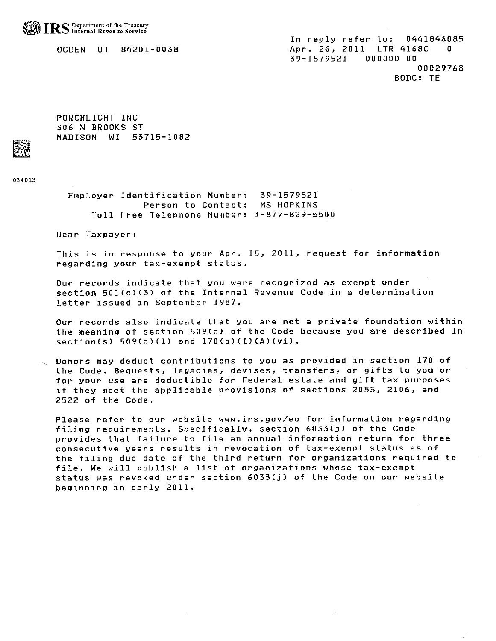OGDEN UT 84201-0038

In reply refer to: 0441846085 Apr. 26, 2011 LTR 4168C 0 39-1579521  $000000000$ 00029768 BODC: TE

PORCHLIGHT INC 306 N BROOKS ST MADISON WI 53715-1082

034013

Employer Identification Number: 39-1579521 Person to Contact: MS HOPKINS Toll Free Telephone Number: 1-877-829-5500

Dear Taxpayer:

This is in response to your Apr. 15, 2011, request for information regarding your tax-exempt status.

Our records indicate that you were recognized as exempt under section 501(c)(3) of the Internal Revenue Code in a determination letter issued in September 1987.

Our records also indicate that you are not a private foundation within the meaning of section 509(a) of the Code because you are described in  $section(s) 509(a)(1) and 170(b)(1)(A)(vi).$ 

Donors may deduct contributions to you as provided in section 170 of the Code. Bequests, legacies, devises, transfers, or gifts to you or for your use are deductible for Federal estate and gift tax purposes if they meet the applicable provisions of sections 2055, 2106, and 2522 of the Code.

Please refer to our website www.irs.gov/eo for information regarding filing requirements. Specifically, section 6033(j) of the Code provides that failure to file an annual information return for three consecutive years results in revocation of tax-exempt status as of the filing due date of the third return for organizations required to file. We will publish a list of organizations whose tax-exempt status was revoked under section 6033(j) of the Code on our website beginning in early 2011.